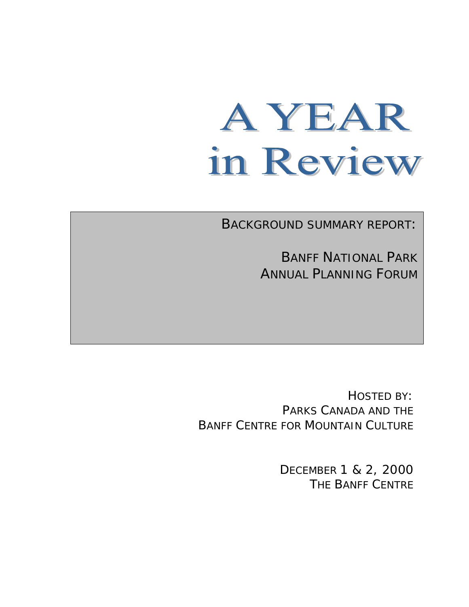# **AYEAR** in Review

BACKGROUND SUMMARY REPORT:

BANFF NATIONAL PARK ANNUAL PLANNING FORUM

HOSTED BY: PARKS CANADA AND THE BANFF CENTRE FOR MOUNTAIN CULTURE

> DECEMBER 1 & 2, 2000 THE BANFF CENTRE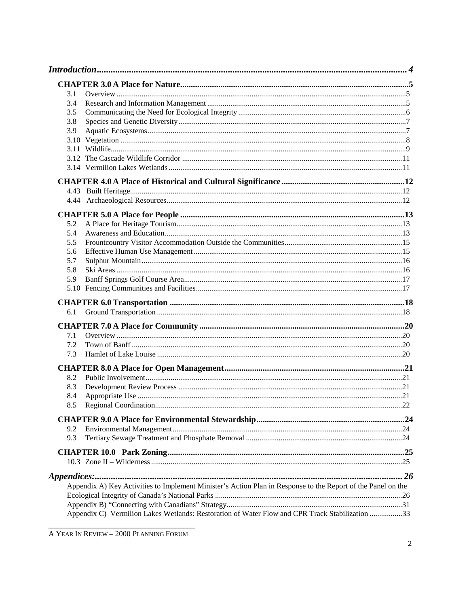| 3.1<br>3.4<br>3.5<br>3.8<br>3.9<br>5.2<br>5.4<br>5.5<br>5.6<br>5.7<br>5.8<br>5.9<br>6.1<br>7.1<br>7.2<br>7.3<br>8.2<br>8.3<br>8.4<br>8.5<br>9.2<br>9.3<br>Appendix A) Key Activities to Implement Minister's Action Plan in Response to the Report of the Panel on the |  |  |
|------------------------------------------------------------------------------------------------------------------------------------------------------------------------------------------------------------------------------------------------------------------------|--|--|
|                                                                                                                                                                                                                                                                        |  |  |
|                                                                                                                                                                                                                                                                        |  |  |
|                                                                                                                                                                                                                                                                        |  |  |
|                                                                                                                                                                                                                                                                        |  |  |
|                                                                                                                                                                                                                                                                        |  |  |
|                                                                                                                                                                                                                                                                        |  |  |
|                                                                                                                                                                                                                                                                        |  |  |
|                                                                                                                                                                                                                                                                        |  |  |
|                                                                                                                                                                                                                                                                        |  |  |
|                                                                                                                                                                                                                                                                        |  |  |
|                                                                                                                                                                                                                                                                        |  |  |
|                                                                                                                                                                                                                                                                        |  |  |
|                                                                                                                                                                                                                                                                        |  |  |
|                                                                                                                                                                                                                                                                        |  |  |
|                                                                                                                                                                                                                                                                        |  |  |
|                                                                                                                                                                                                                                                                        |  |  |
|                                                                                                                                                                                                                                                                        |  |  |
|                                                                                                                                                                                                                                                                        |  |  |
|                                                                                                                                                                                                                                                                        |  |  |
|                                                                                                                                                                                                                                                                        |  |  |
|                                                                                                                                                                                                                                                                        |  |  |
|                                                                                                                                                                                                                                                                        |  |  |
|                                                                                                                                                                                                                                                                        |  |  |
|                                                                                                                                                                                                                                                                        |  |  |
|                                                                                                                                                                                                                                                                        |  |  |
|                                                                                                                                                                                                                                                                        |  |  |
|                                                                                                                                                                                                                                                                        |  |  |
|                                                                                                                                                                                                                                                                        |  |  |
|                                                                                                                                                                                                                                                                        |  |  |
|                                                                                                                                                                                                                                                                        |  |  |
|                                                                                                                                                                                                                                                                        |  |  |
|                                                                                                                                                                                                                                                                        |  |  |
|                                                                                                                                                                                                                                                                        |  |  |
|                                                                                                                                                                                                                                                                        |  |  |
|                                                                                                                                                                                                                                                                        |  |  |
|                                                                                                                                                                                                                                                                        |  |  |
|                                                                                                                                                                                                                                                                        |  |  |
|                                                                                                                                                                                                                                                                        |  |  |
|                                                                                                                                                                                                                                                                        |  |  |
|                                                                                                                                                                                                                                                                        |  |  |
|                                                                                                                                                                                                                                                                        |  |  |
|                                                                                                                                                                                                                                                                        |  |  |
| Appendix C) Vermilion Lakes Wetlands: Restoration of Water Flow and CPR Track Stabilization 33                                                                                                                                                                         |  |  |

A YEAR IN REVIEW - 2000 PLANNING FORUM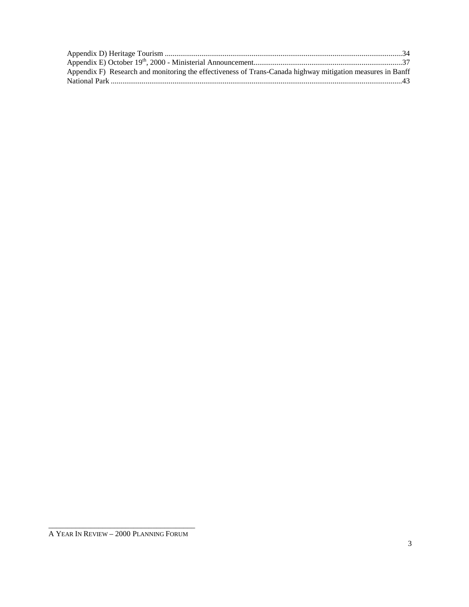| Appendix F) Research and monitoring the effectiveness of Trans-Canada highway mitigation measures in Banff |  |
|------------------------------------------------------------------------------------------------------------|--|
|                                                                                                            |  |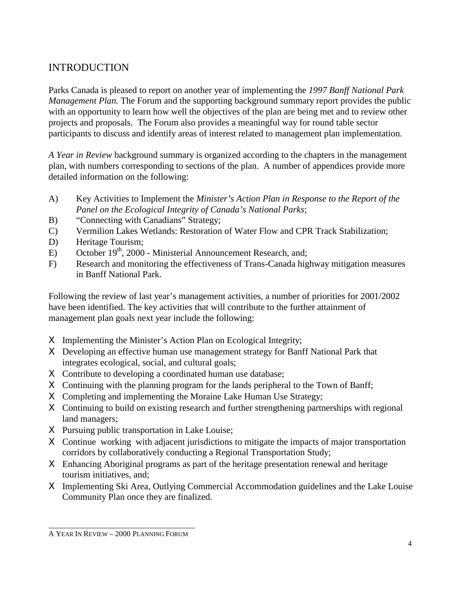# INTRODUCTION

Parks Canada is pleased to report on another year of implementing the *1997 Banff National Park Management Plan.* The Forum and the supporting background summary report provides the public with an opportunity to learn how well the objectives of the plan are being met and to review other projects and proposals. The Forum also provides a meaningful way for round table sector participants to discuss and identify areas of interest related to management plan implementation.

*A Year in Review* background summary is organized according to the chapters in the management plan, with numbers corresponding to sections of the plan. A number of appendices provide more detailed information on the following:

- A) Key Activities to Implement the *Minister's Action Plan in Response to the Report of the Panel on the Ecological Integrity of Canada's National Parks*;
- B) "Connecting with Canadians" Strategy;
- C) Vermilion Lakes Wetlands: Restoration of Water Flow and CPR Track Stabilization;
- D) Heritage Tourism;
- E) October  $19<sup>th</sup>$ , 2000 Ministerial Announcement Research, and;
- F) Research and monitoring the effectiveness of Trans-Canada highway mitigation measures in Banff National Park.

Following the review of last year's management activities, a number of priorities for 2001/2002 have been identified. The key activities that will contribute to the further attainment of management plan goals next year include the following:

- Χ Implementing the Minister's Action Plan on Ecological Integrity;
- Χ Developing an effective human use management strategy for Banff National Park that integrates ecological, social, and cultural goals;
- Χ Contribute to developing a coordinated human use database;
- Χ Continuing with the planning program for the lands peripheral to the Town of Banff;
- Χ Completing and implementing the Moraine Lake Human Use Strategy;
- Χ Continuing to build on existing research and further strengthening partnerships with regional land managers;
- Χ Pursuing public transportation in Lake Louise;
- Χ Continue working with adjacent jurisdictions to mitigate the impacts of major transportation corridors by collaboratively conducting a Regional Transportation Study;
- Χ Enhancing Aboriginal programs as part of the heritage presentation renewal and heritage tourism initiatives, and;
- Χ Implementing Ski Area, Outlying Commercial Accommodation guidelines and the Lake Louise Community Plan once they are finalized.

\_\_\_\_\_\_\_\_\_\_\_\_\_\_\_\_\_\_\_\_\_\_\_\_\_\_\_\_\_\_\_\_\_\_\_\_\_\_ A YEAR IN REVIEW – 2000 PLANNING FORUM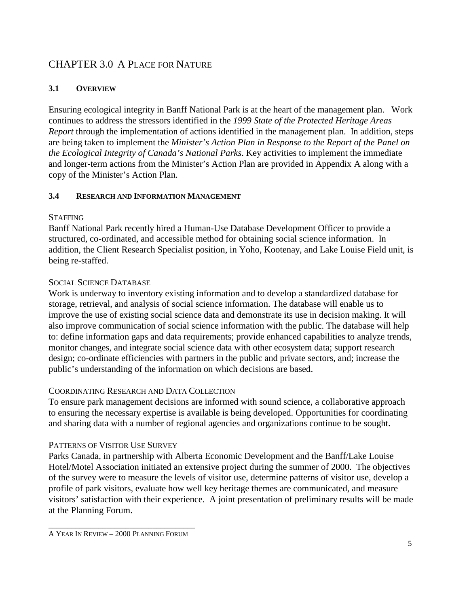# CHAPTER 3.0 A PLACE FOR NATURE

# **3.1 OVERVIEW**

Ensuring ecological integrity in Banff National Park is at the heart of the management plan. Work continues to address the stressors identified in the *1999 State of the Protected Heritage Areas Report* through the implementation of actions identified in the management plan. In addition, steps are being taken to implement the *Minister's Action Plan in Response to the Report of the Panel on the Ecological Integrity of Canada's National Parks*. Key activities to implement the immediate and longer-term actions from the Minister's Action Plan are provided in Appendix A along with a copy of the Minister's Action Plan.

# **3.4 RESEARCH AND INFORMATION MANAGEMENT**

# **STAFFING**

Banff National Park recently hired a Human-Use Database Development Officer to provide a structured, co-ordinated, and accessible method for obtaining social science information. In addition, the Client Research Specialist position, in Yoho, Kootenay, and Lake Louise Field unit, is being re-staffed.

# SOCIAL SCIENCE DATABASE

Work is underway to inventory existing information and to develop a standardized database for storage, retrieval, and analysis of social science information. The database will enable us to improve the use of existing social science data and demonstrate its use in decision making. It will also improve communication of social science information with the public. The database will help to: define information gaps and data requirements; provide enhanced capabilities to analyze trends, monitor changes, and integrate social science data with other ecosystem data; support research design; co-ordinate efficiencies with partners in the public and private sectors, and; increase the public's understanding of the information on which decisions are based.

# COORDINATING RESEARCH AND DATA COLLECTION

To ensure park management decisions are informed with sound science, a collaborative approach to ensuring the necessary expertise is available is being developed. Opportunities for coordinating and sharing data with a number of regional agencies and organizations continue to be sought.

# PATTERNS OF VISITOR USE SURVEY

Parks Canada, in partnership with Alberta Economic Development and the Banff/Lake Louise Hotel/Motel Association initiated an extensive project during the summer of 2000. The objectives of the survey were to measure the levels of visitor use, determine patterns of visitor use, develop a profile of park visitors, evaluate how well key heritage themes are communicated, and measure visitors' satisfaction with their experience. A joint presentation of preliminary results will be made at the Planning Forum.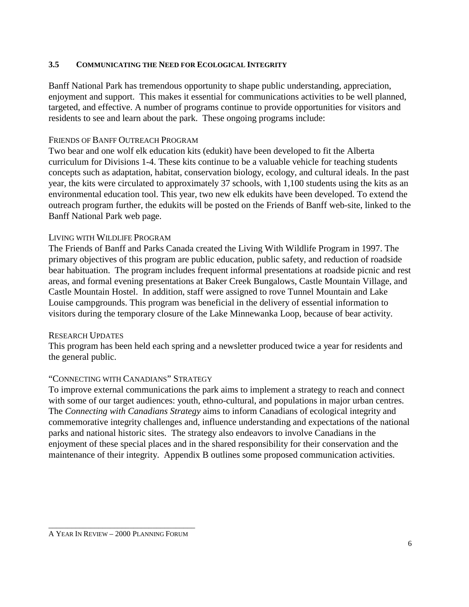#### **3.5 COMMUNICATING THE NEED FOR ECOLOGICAL INTEGRITY**

Banff National Park has tremendous opportunity to shape public understanding, appreciation, enjoyment and support. This makes it essential for communications activities to be well planned, targeted, and effective. A number of programs continue to provide opportunities for visitors and residents to see and learn about the park. These ongoing programs include:

#### FRIENDS OF BANFF OUTREACH PROGRAM

Two bear and one wolf elk education kits (edukit) have been developed to fit the Alberta curriculum for Divisions 1-4. These kits continue to be a valuable vehicle for teaching students concepts such as adaptation, habitat, conservation biology, ecology, and cultural ideals. In the past year, the kits were circulated to approximately 37 schools, with 1,100 students using the kits as an environmental education tool. This year, two new elk edukits have been developed. To extend the outreach program further, the edukits will be posted on the Friends of Banff web-site, linked to the Banff National Park web page.

#### LIVING WITH WILDLIFE PROGRAM

The Friends of Banff and Parks Canada created the Living With Wildlife Program in 1997. The primary objectives of this program are public education, public safety, and reduction of roadside bear habituation. The program includes frequent informal presentations at roadside picnic and rest areas, and formal evening presentations at Baker Creek Bungalows, Castle Mountain Village, and Castle Mountain Hostel. In addition, staff were assigned to rove Tunnel Mountain and Lake Louise campgrounds. This program was beneficial in the delivery of essential information to visitors during the temporary closure of the Lake Minnewanka Loop, because of bear activity.

#### RESEARCH UPDATES

This program has been held each spring and a newsletter produced twice a year for residents and the general public.

#### "CONNECTING WITH CANADIANS" STRATEGY

To improve external communications the park aims to implement a strategy to reach and connect with some of our target audiences: youth, ethno-cultural, and populations in major urban centres. The *Connecting with Canadians Strategy* aims to inform Canadians of ecological integrity and commemorative integrity challenges and, influence understanding and expectations of the national parks and national historic sites. The strategy also endeavors to involve Canadians in the enjoyment of these special places and in the shared responsibility for their conservation and the maintenance of their integrity. Appendix B outlines some proposed communication activities.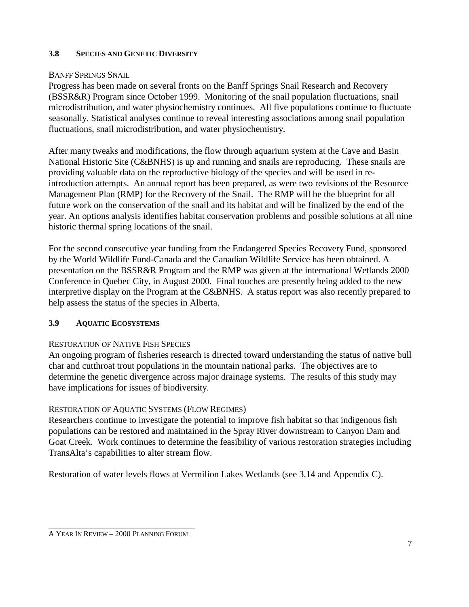#### **3.8 SPECIES AND GENETIC DIVERSITY**

#### BANFF SPRINGS SNAIL

Progress has been made on several fronts on the Banff Springs Snail Research and Recovery (BSSR&R) Program since October 1999. Monitoring of the snail population fluctuations, snail microdistribution, and water physiochemistry continues. All five populations continue to fluctuate seasonally. Statistical analyses continue to reveal interesting associations among snail population fluctuations, snail microdistribution, and water physiochemistry.

After many tweaks and modifications, the flow through aquarium system at the Cave and Basin National Historic Site (C&BNHS) is up and running and snails are reproducing. These snails are providing valuable data on the reproductive biology of the species and will be used in reintroduction attempts. An annual report has been prepared, as were two revisions of the Resource Management Plan (RMP) for the Recovery of the Snail. The RMP will be the blueprint for all future work on the conservation of the snail and its habitat and will be finalized by the end of the year. An options analysis identifies habitat conservation problems and possible solutions at all nine historic thermal spring locations of the snail.

For the second consecutive year funding from the Endangered Species Recovery Fund, sponsored by the World Wildlife Fund-Canada and the Canadian Wildlife Service has been obtained. A presentation on the BSSR&R Program and the RMP was given at the international Wetlands 2000 Conference in Quebec City, in August 2000. Final touches are presently being added to the new interpretive display on the Program at the C&BNHS. A status report was also recently prepared to help assess the status of the species in Alberta.

# **3.9 AQUATIC ECOSYSTEMS**

#### RESTORATION OF NATIVE FISH SPECIES

An ongoing program of fisheries research is directed toward understanding the status of native bull char and cutthroat trout populations in the mountain national parks. The objectives are to determine the genetic divergence across major drainage systems. The results of this study may have implications for issues of biodiversity.

# RESTORATION OF AQUATIC SYSTEMS (FLOW REGIMES)

Researchers continue to investigate the potential to improve fish habitat so that indigenous fish populations can be restored and maintained in the Spray River downstream to Canyon Dam and Goat Creek. Work continues to determine the feasibility of various restoration strategies including TransAlta's capabilities to alter stream flow.

Restoration of water levels flows at Vermilion Lakes Wetlands (see 3.14 and Appendix C).

\_\_\_\_\_\_\_\_\_\_\_\_\_\_\_\_\_\_\_\_\_\_\_\_\_\_\_\_\_\_\_\_\_\_\_\_\_\_ A YEAR IN REVIEW – 2000 PLANNING FORUM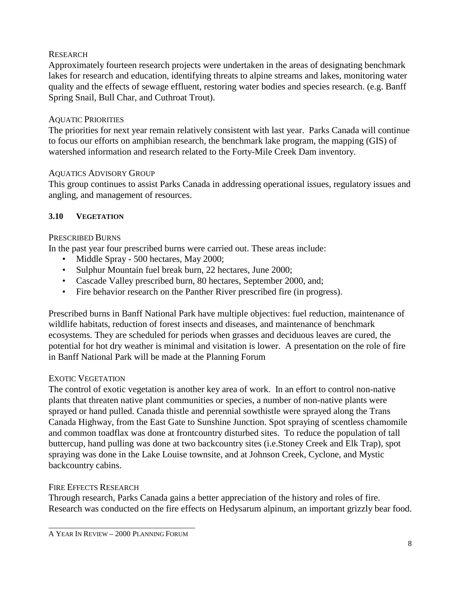#### **RESEARCH**

Approximately fourteen research projects were undertaken in the areas of designating benchmark lakes for research and education, identifying threats to alpine streams and lakes, monitoring water quality and the effects of sewage effluent, restoring water bodies and species research. (e.g. Banff Spring Snail, Bull Char, and Cuthroat Trout).

#### AQUATIC PRIORITIES

The priorities for next year remain relatively consistent with last year. Parks Canada will continue to focus our efforts on amphibian research, the benchmark lake program, the mapping (GIS) of watershed information and research related to the Forty-Mile Creek Dam inventory.

#### AQUATICS ADVISORY GROUP

This group continues to assist Parks Canada in addressing operational issues, regulatory issues and angling, and management of resources.

#### **3.10 VEGETATION**

#### PRESCRIBED BURNS

In the past year four prescribed burns were carried out. These areas include:

- Middle Spray 500 hectares, May 2000;
- Sulphur Mountain fuel break burn, 22 hectares, June 2000;
- Cascade Valley prescribed burn, 80 hectares, September 2000, and;
- Fire behavior research on the Panther River prescribed fire (in progress).

Prescribed burns in Banff National Park have multiple objectives: fuel reduction, maintenance of wildlife habitats, reduction of forest insects and diseases, and maintenance of benchmark ecosystems. They are scheduled for periods when grasses and deciduous leaves are cured, the potential for hot dry weather is minimal and visitation is lower. A presentation on the role of fire in Banff National Park will be made at the Planning Forum

#### EXOTIC VEGETATION

The control of exotic vegetation is another key area of work. In an effort to control non-native plants that threaten native plant communities or species, a number of non-native plants were sprayed or hand pulled. Canada thistle and perennial sowthistle were sprayed along the Trans Canada Highway, from the East Gate to Sunshine Junction. Spot spraying of scentless chamomile and common toadflax was done at frontcountry disturbed sites. To reduce the population of tall buttercup, hand pulling was done at two backcountry sites (i.e.Stoney Creek and Elk Trap), spot spraying was done in the Lake Louise townsite, and at Johnson Creek, Cyclone, and Mystic backcountry cabins.

#### FIRE EFFECTS RESEARCH

Through research, Parks Canada gains a better appreciation of the history and roles of fire. Research was conducted on the fire effects on Hedysarum alpinum, an important grizzly bear food.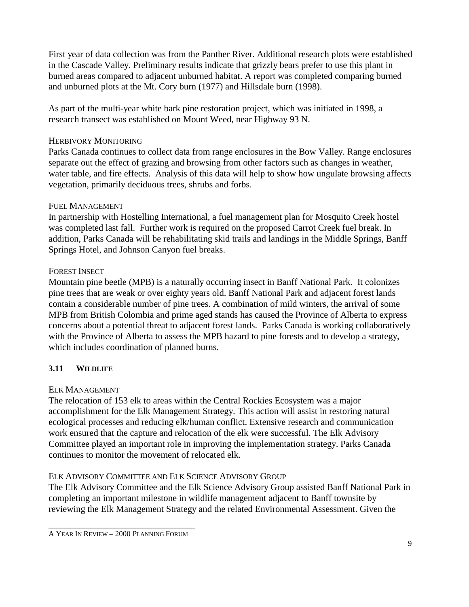First year of data collection was from the Panther River. Additional research plots were established in the Cascade Valley. Preliminary results indicate that grizzly bears prefer to use this plant in burned areas compared to adjacent unburned habitat. A report was completed comparing burned and unburned plots at the Mt. Cory burn (1977) and Hillsdale burn (1998).

As part of the multi-year white bark pine restoration project, which was initiated in 1998, a research transect was established on Mount Weed, near Highway 93 N.

#### HERBIVORY MONITORING

Parks Canada continues to collect data from range enclosures in the Bow Valley. Range enclosures separate out the effect of grazing and browsing from other factors such as changes in weather, water table, and fire effects. Analysis of this data will help to show how ungulate browsing affects vegetation, primarily deciduous trees, shrubs and forbs.

#### FUEL MANAGEMENT

In partnership with Hostelling International, a fuel management plan for Mosquito Creek hostel was completed last fall. Further work is required on the proposed Carrot Creek fuel break. In addition, Parks Canada will be rehabilitating skid trails and landings in the Middle Springs, Banff Springs Hotel, and Johnson Canyon fuel breaks.

# FOREST INSECT

Mountain pine beetle (MPB) is a naturally occurring insect in Banff National Park. It colonizes pine trees that are weak or over eighty years old. Banff National Park and adjacent forest lands contain a considerable number of pine trees. A combination of mild winters, the arrival of some MPB from British Colombia and prime aged stands has caused the Province of Alberta to express concerns about a potential threat to adjacent forest lands. Parks Canada is working collaboratively with the Province of Alberta to assess the MPB hazard to pine forests and to develop a strategy, which includes coordination of planned burns.

# **3.11 WILDLIFE**

# ELK MANAGEMENT

The relocation of 153 elk to areas within the Central Rockies Ecosystem was a major accomplishment for the Elk Management Strategy. This action will assist in restoring natural ecological processes and reducing elk/human conflict. Extensive research and communication work ensured that the capture and relocation of the elk were successful. The Elk Advisory Committee played an important role in improving the implementation strategy. Parks Canada continues to monitor the movement of relocated elk.

# ELK ADVISORY COMMITTEE AND ELK SCIENCE ADVISORY GROUP

The Elk Advisory Committee and the Elk Science Advisory Group assisted Banff National Park in completing an important milestone in wildlife management adjacent to Banff townsite by reviewing the Elk Management Strategy and the related Environmental Assessment. Given the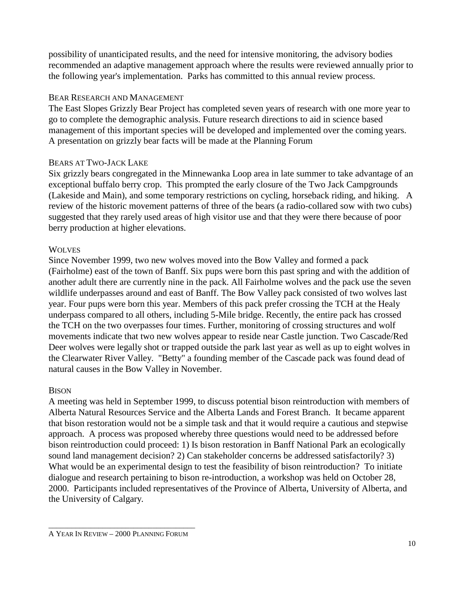possibility of unanticipated results, and the need for intensive monitoring, the advisory bodies recommended an adaptive management approach where the results were reviewed annually prior to the following year's implementation. Parks has committed to this annual review process.

#### BEAR RESEARCH AND MANAGEMENT

The East Slopes Grizzly Bear Project has completed seven years of research with one more year to go to complete the demographic analysis. Future research directions to aid in science based management of this important species will be developed and implemented over the coming years. A presentation on grizzly bear facts will be made at the Planning Forum

#### BEARS AT TWO-JACK LAKE

Six grizzly bears congregated in the Minnewanka Loop area in late summer to take advantage of an exceptional buffalo berry crop. This prompted the early closure of the Two Jack Campgrounds (Lakeside and Main), and some temporary restrictions on cycling, horseback riding, and hiking. A review of the historic movement patterns of three of the bears (a radio-collared sow with two cubs) suggested that they rarely used areas of high visitor use and that they were there because of poor berry production at higher elevations.

#### **WOLVES**

Since November 1999, two new wolves moved into the Bow Valley and formed a pack (Fairholme) east of the town of Banff. Six pups were born this past spring and with the addition of another adult there are currently nine in the pack. All Fairholme wolves and the pack use the seven wildlife underpasses around and east of Banff. The Bow Valley pack consisted of two wolves last year. Four pups were born this year. Members of this pack prefer crossing the TCH at the Healy underpass compared to all others, including 5-Mile bridge. Recently, the entire pack has crossed the TCH on the two overpasses four times. Further, monitoring of crossing structures and wolf movements indicate that two new wolves appear to reside near Castle junction. Two Cascade/Red Deer wolves were legally shot or trapped outside the park last year as well as up to eight wolves in the Clearwater River Valley. "Betty" a founding member of the Cascade pack was found dead of natural causes in the Bow Valley in November.

#### **BISON**

A meeting was held in September 1999, to discuss potential bison reintroduction with members of Alberta Natural Resources Service and the Alberta Lands and Forest Branch. It became apparent that bison restoration would not be a simple task and that it would require a cautious and stepwise approach. A process was proposed whereby three questions would need to be addressed before bison reintroduction could proceed: 1) Is bison restoration in Banff National Park an ecologically sound land management decision? 2) Can stakeholder concerns be addressed satisfactorily? 3) What would be an experimental design to test the feasibility of bison reintroduction? To initiate dialogue and research pertaining to bison re-introduction, a workshop was held on October 28, 2000. Participants included representatives of the Province of Alberta, University of Alberta, and the University of Calgary*.*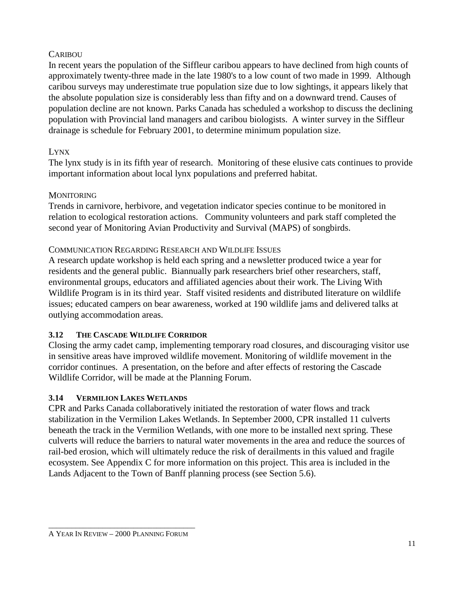#### **CARIBOU**

In recent years the population of the Siffleur caribou appears to have declined from high counts of approximately twenty-three made in the late 1980's to a low count of two made in 1999. Although caribou surveys may underestimate true population size due to low sightings, it appears likely that the absolute population size is considerably less than fifty and on a downward trend. Causes of population decline are not known. Parks Canada has scheduled a workshop to discuss the declining population with Provincial land managers and caribou biologists. A winter survey in the Siffleur drainage is schedule for February 2001, to determine minimum population size.

# LYNX

The lynx study is in its fifth year of research. Monitoring of these elusive cats continues to provide important information about local lynx populations and preferred habitat.

# **MONITORING**

Trends in carnivore, herbivore, and vegetation indicator species continue to be monitored in relation to ecological restoration actions. Community volunteers and park staff completed the second year of Monitoring Avian Productivity and Survival (MAPS) of songbirds.

# COMMUNICATION REGARDING RESEARCH AND WILDLIFE ISSUES

A research update workshop is held each spring and a newsletter produced twice a year for residents and the general public. Biannually park researchers brief other researchers, staff, environmental groups, educators and affiliated agencies about their work. The Living With Wildlife Program is in its third year. Staff visited residents and distributed literature on wildlife issues; educated campers on bear awareness, worked at 190 wildlife jams and delivered talks at outlying accommodation areas.

# **3.12 THE CASCADE WILDLIFE CORRIDOR**

Closing the army cadet camp, implementing temporary road closures, and discouraging visitor use in sensitive areas have improved wildlife movement. Monitoring of wildlife movement in the corridor continues. A presentation, on the before and after effects of restoring the Cascade Wildlife Corridor, will be made at the Planning Forum.

# **3.14 VERMILION LAKES WETLANDS**

CPR and Parks Canada collaboratively initiated the restoration of water flows and track stabilization in the Vermilion Lakes Wetlands. In September 2000, CPR installed 11 culverts beneath the track in the Vermilion Wetlands, with one more to be installed next spring. These culverts will reduce the barriers to natural water movements in the area and reduce the sources of rail-bed erosion, which will ultimately reduce the risk of derailments in this valued and fragile ecosystem. See Appendix C for more information on this project. This area is included in the Lands Adjacent to the Town of Banff planning process (see Section 5.6).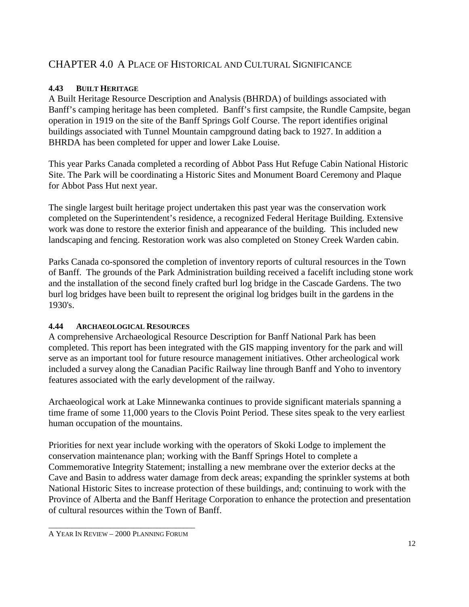# CHAPTER 4.0 A PLACE OF HISTORICAL AND CULTURAL SIGNIFICANCE

#### **4.43 BUILT HERITAGE**

A Built Heritage Resource Description and Analysis (BHRDA) of buildings associated with Banff's camping heritage has been completed. Banff's first campsite, the Rundle Campsite, began operation in 1919 on the site of the Banff Springs Golf Course. The report identifies original buildings associated with Tunnel Mountain campground dating back to 1927. In addition a BHRDA has been completed for upper and lower Lake Louise.

This year Parks Canada completed a recording of Abbot Pass Hut Refuge Cabin National Historic Site. The Park will be coordinating a Historic Sites and Monument Board Ceremony and Plaque for Abbot Pass Hut next year.

The single largest built heritage project undertaken this past year was the conservation work completed on the Superintendent's residence, a recognized Federal Heritage Building. Extensive work was done to restore the exterior finish and appearance of the building. This included new landscaping and fencing. Restoration work was also completed on Stoney Creek Warden cabin.

Parks Canada co-sponsored the completion of inventory reports of cultural resources in the Town of Banff. The grounds of the Park Administration building received a facelift including stone work and the installation of the second finely crafted burl log bridge in the Cascade Gardens. The two burl log bridges have been built to represent the original log bridges built in the gardens in the 1930's.

#### **4.44 ARCHAEOLOGICAL RESOURCES**

A comprehensive Archaeological Resource Description for Banff National Park has been completed. This report has been integrated with the GIS mapping inventory for the park and will serve as an important tool for future resource management initiatives. Other archeological work included a survey along the Canadian Pacific Railway line through Banff and Yoho to inventory features associated with the early development of the railway.

Archaeological work at Lake Minnewanka continues to provide significant materials spanning a time frame of some 11,000 years to the Clovis Point Period. These sites speak to the very earliest human occupation of the mountains.

Priorities for next year include working with the operators of Skoki Lodge to implement the conservation maintenance plan; working with the Banff Springs Hotel to complete a Commemorative Integrity Statement; installing a new membrane over the exterior decks at the Cave and Basin to address water damage from deck areas; expanding the sprinkler systems at both National Historic Sites to increase protection of these buildings, and; continuing to work with the Province of Alberta and the Banff Heritage Corporation to enhance the protection and presentation of cultural resources within the Town of Banff.

\_\_\_\_\_\_\_\_\_\_\_\_\_\_\_\_\_\_\_\_\_\_\_\_\_\_\_\_\_\_\_\_\_\_\_\_\_\_ A YEAR IN REVIEW – 2000 PLANNING FORUM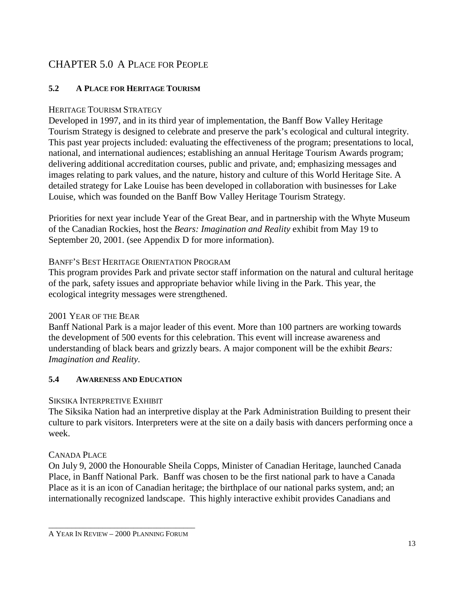# CHAPTER 5.0 A PLACE FOR PEOPLE

# **5.2 A PLACE FOR HERITAGE TOURISM**

# HERITAGE TOURISM STRATEGY

Developed in 1997, and in its third year of implementation, the Banff Bow Valley Heritage Tourism Strategy is designed to celebrate and preserve the park's ecological and cultural integrity. This past year projects included: evaluating the effectiveness of the program; presentations to local, national, and international audiences; establishing an annual Heritage Tourism Awards program; delivering additional accreditation courses, public and private, and; emphasizing messages and images relating to park values, and the nature, history and culture of this World Heritage Site. A detailed strategy for Lake Louise has been developed in collaboration with businesses for Lake Louise, which was founded on the Banff Bow Valley Heritage Tourism Strategy.

Priorities for next year include Year of the Great Bear, and in partnership with the Whyte Museum of the Canadian Rockies, host the *Bears: Imagination and Reality* exhibit from May 19 to September 20, 2001. (see Appendix D for more information).

#### BANFF'S BEST HERITAGE ORIENTATION PROGRAM

This program provides Park and private sector staff information on the natural and cultural heritage of the park, safety issues and appropriate behavior while living in the Park. This year, the ecological integrity messages were strengthened.

# 2001 YEAR OF THE BEAR

Banff National Park is a major leader of this event. More than 100 partners are working towards the development of 500 events for this celebration. This event will increase awareness and understanding of black bears and grizzly bears. A major component will be the exhibit *Bears: Imagination and Reality*.

# **5.4 AWARENESS AND EDUCATION**

# SIKSIKA INTERPRETIVE EXHIBIT

The Siksika Nation had an interpretive display at the Park Administration Building to present their culture to park visitors. Interpreters were at the site on a daily basis with dancers performing once a week.

# CANADA PLACE

On July 9, 2000 the Honourable Sheila Copps, Minister of Canadian Heritage, launched Canada Place, in Banff National Park. Banff was chosen to be the first national park to have a Canada Place as it is an icon of Canadian heritage; the birthplace of our national parks system, and; an internationally recognized landscape. This highly interactive exhibit provides Canadians and

\_\_\_\_\_\_\_\_\_\_\_\_\_\_\_\_\_\_\_\_\_\_\_\_\_\_\_\_\_\_\_\_\_\_\_\_\_\_ A YEAR IN REVIEW – 2000 PLANNING FORUM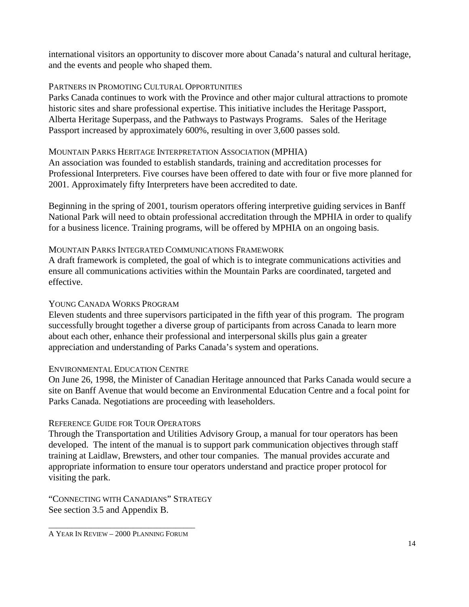international visitors an opportunity to discover more about Canada's natural and cultural heritage, and the events and people who shaped them.

#### PARTNERS IN PROMOTING CULTURAL OPPORTUNITIES

Parks Canada continues to work with the Province and other major cultural attractions to promote historic sites and share professional expertise. This initiative includes the Heritage Passport, Alberta Heritage Superpass, and the Pathways to Pastways Programs. Sales of the Heritage Passport increased by approximately 600%, resulting in over 3,600 passes sold.

#### MOUNTAIN PARKS HERITAGE INTERPRETATION ASSOCIATION (MPHIA)

An association was founded to establish standards, training and accreditation processes for Professional Interpreters. Five courses have been offered to date with four or five more planned for 2001. Approximately fifty Interpreters have been accredited to date.

Beginning in the spring of 2001, tourism operators offering interpretive guiding services in Banff National Park will need to obtain professional accreditation through the MPHIA in order to qualify for a business licence. Training programs, will be offered by MPHIA on an ongoing basis.

#### MOUNTAIN PARKS INTEGRATED COMMUNICATIONS FRAMEWORK

A draft framework is completed, the goal of which is to integrate communications activities and ensure all communications activities within the Mountain Parks are coordinated, targeted and effective.

#### YOUNG CANADA WORKS PROGRAM

Eleven students and three supervisors participated in the fifth year of this program. The program successfully brought together a diverse group of participants from across Canada to learn more about each other, enhance their professional and interpersonal skills plus gain a greater appreciation and understanding of Parks Canada's system and operations.

#### ENVIRONMENTAL EDUCATION CENTRE

On June 26, 1998, the Minister of Canadian Heritage announced that Parks Canada would secure a site on Banff Avenue that would become an Environmental Education Centre and a focal point for Parks Canada. Negotiations are proceeding with leaseholders.

# REFERENCE GUIDE FOR TOUR OPERATORS

Through the Transportation and Utilities Advisory Group, a manual for tour operators has been developed. The intent of the manual is to support park communication objectives through staff training at Laidlaw, Brewsters, and other tour companies. The manual provides accurate and appropriate information to ensure tour operators understand and practice proper protocol for visiting the park.

"CONNECTING WITH CANADIANS" STRATEGY See section 3.5 and Appendix B.

\_\_\_\_\_\_\_\_\_\_\_\_\_\_\_\_\_\_\_\_\_\_\_\_\_\_\_\_\_\_\_\_\_\_\_\_\_\_ A YEAR IN REVIEW – 2000 PLANNING FORUM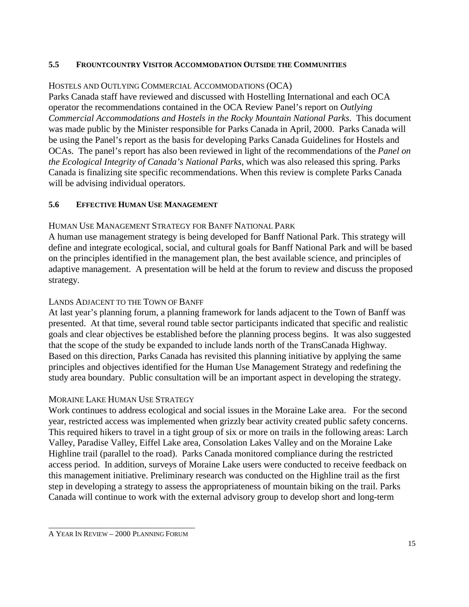#### **5.5 FROUNTCOUNTRY VISITOR ACCOMMODATION OUTSIDE THE COMMUNITIES**

#### HOSTELS AND OUTLYING COMMERCIAL ACCOMMODATIONS (OCA)

Parks Canada staff have reviewed and discussed with Hostelling International and each OCA operator the recommendations contained in the OCA Review Panel's report on *Outlying Commercial Accommodations and Hostels in the Rocky Mountain National Parks*. This document was made public by the Minister responsible for Parks Canada in April, 2000. Parks Canada will be using the Panel's report as the basis for developing Parks Canada Guidelines for Hostels and OCAs. The panel's report has also been reviewed in light of the recommendations of the *Panel on the Ecological Integrity of Canada's National Parks*, which was also released this spring. Parks Canada is finalizing site specific recommendations. When this review is complete Parks Canada will be advising individual operators.

#### **5.6 EFFECTIVE HUMAN USE MANAGEMENT**

#### HUMAN USE MANAGEMENT STRATEGY FOR BANFF NATIONAL PARK

A human use management strategy is being developed for Banff National Park. This strategy will define and integrate ecological, social, and cultural goals for Banff National Park and will be based on the principles identified in the management plan, the best available science, and principles of adaptive management. A presentation will be held at the forum to review and discuss the proposed strategy.

#### LANDS ADJACENT TO THE TOWN OF BANFF

At last year's planning forum, a planning framework for lands adjacent to the Town of Banff was presented. At that time, several round table sector participants indicated that specific and realistic goals and clear objectives be established before the planning process begins. It was also suggested that the scope of the study be expanded to include lands north of the TransCanada Highway. Based on this direction, Parks Canada has revisited this planning initiative by applying the same principles and objectives identified for the Human Use Management Strategy and redefining the study area boundary. Public consultation will be an important aspect in developing the strategy.

#### MORAINE LAKE HUMAN USE STRATEGY

Work continues to address ecological and social issues in the Moraine Lake area. For the second year, restricted access was implemented when grizzly bear activity created public safety concerns. This required hikers to travel in a tight group of six or more on trails in the following areas: Larch Valley, Paradise Valley, Eiffel Lake area, Consolation Lakes Valley and on the Moraine Lake Highline trail (parallel to the road). Parks Canada monitored compliance during the restricted access period. In addition, surveys of Moraine Lake users were conducted to receive feedback on this management initiative. Preliminary research was conducted on the Highline trail as the first step in developing a strategy to assess the appropriateness of mountain biking on the trail. Parks Canada will continue to work with the external advisory group to develop short and long-term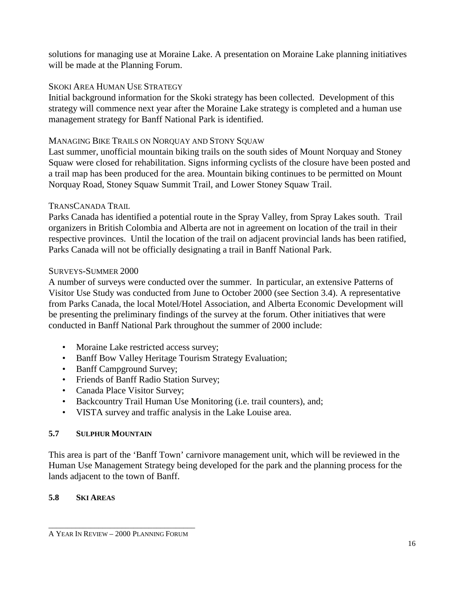solutions for managing use at Moraine Lake. A presentation on Moraine Lake planning initiatives will be made at the Planning Forum.

#### SKOKI AREA HUMAN USE STRATEGY

Initial background information for the Skoki strategy has been collected. Development of this strategy will commence next year after the Moraine Lake strategy is completed and a human use management strategy for Banff National Park is identified.

#### MANAGING BIKE TRAILS ON NORQUAY AND STONY SQUAW

Last summer, unofficial mountain biking trails on the south sides of Mount Norquay and Stoney Squaw were closed for rehabilitation. Signs informing cyclists of the closure have been posted and a trail map has been produced for the area. Mountain biking continues to be permitted on Mount Norquay Road, Stoney Squaw Summit Trail, and Lower Stoney Squaw Trail.

#### TRANSCANADA TRAIL

Parks Canada has identified a potential route in the Spray Valley, from Spray Lakes south. Trail organizers in British Colombia and Alberta are not in agreement on location of the trail in their respective provinces. Until the location of the trail on adjacent provincial lands has been ratified, Parks Canada will not be officially designating a trail in Banff National Park.

#### SURVEYS-SUMMER 2000

A number of surveys were conducted over the summer. In particular, an extensive Patterns of Visitor Use Study was conducted from June to October 2000 (see Section 3.4). A representative from Parks Canada, the local Motel/Hotel Association, and Alberta Economic Development will be presenting the preliminary findings of the survey at the forum. Other initiatives that were conducted in Banff National Park throughout the summer of 2000 include:

- Moraine Lake restricted access survey;
- Banff Bow Valley Heritage Tourism Strategy Evaluation;
- Banff Campground Survey;
- Friends of Banff Radio Station Survey;
- Canada Place Visitor Survey;
- Backcountry Trail Human Use Monitoring (i.e. trail counters), and;
- VISTA survey and traffic analysis in the Lake Louise area.

# **5.7 SULPHUR MOUNTAIN**

This area is part of the 'Banff Town' carnivore management unit, which will be reviewed in the Human Use Management Strategy being developed for the park and the planning process for the lands adjacent to the town of Banff.

# **5.8 SKI AREAS**

\_\_\_\_\_\_\_\_\_\_\_\_\_\_\_\_\_\_\_\_\_\_\_\_\_\_\_\_\_\_\_\_\_\_\_\_\_\_ A YEAR IN REVIEW – 2000 PLANNING FORUM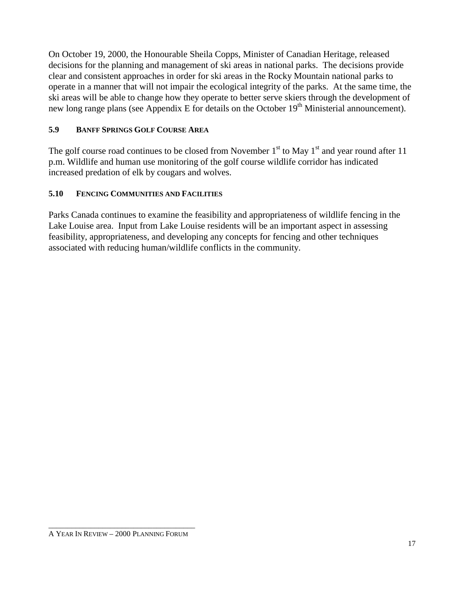On October 19, 2000, the Honourable Sheila Copps, Minister of Canadian Heritage, released decisions for the planning and management of ski areas in national parks. The decisions provide clear and consistent approaches in order for ski areas in the Rocky Mountain national parks to operate in a manner that will not impair the ecological integrity of the parks. At the same time, the ski areas will be able to change how they operate to better serve skiers through the development of new long range plans (see Appendix E for details on the October 19<sup>th</sup> Ministerial announcement).

#### **5.9 BANFF SPRINGS GOLF COURSE AREA**

The golf course road continues to be closed from November  $1<sup>st</sup>$  to May  $1<sup>st</sup>$  and year round after 11 p.m. Wildlife and human use monitoring of the golf course wildlife corridor has indicated increased predation of elk by cougars and wolves.

# **5.10 FENCING COMMUNITIES AND FACILITIES**

Parks Canada continues to examine the feasibility and appropriateness of wildlife fencing in the Lake Louise area. Input from Lake Louise residents will be an important aspect in assessing feasibility, appropriateness, and developing any concepts for fencing and other techniques associated with reducing human/wildlife conflicts in the community.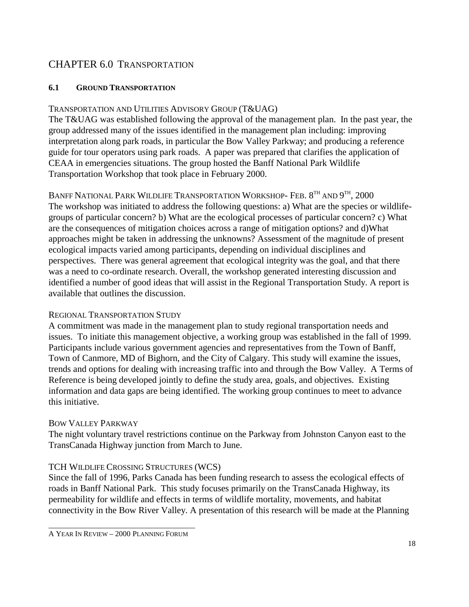# CHAPTER 6.0 TRANSPORTATION

#### **6.1 GROUND TRANSPORTATION**

#### TRANSPORTATION AND UTILITIES ADVISORY GROUP (T&UAG)

The T&UAG was established following the approval of the management plan. In the past year, the group addressed many of the issues identified in the management plan including: improving interpretation along park roads, in particular the Bow Valley Parkway; and producing a reference guide for tour operators using park roads. A paper was prepared that clarifies the application of CEAA in emergencies situations. The group hosted the Banff National Park Wildlife Transportation Workshop that took place in February 2000.

BANFF NATIONAL PARK WILDLIFE TRANSPORTATION WORKSHOP- FEB.  $8^{TH}$  and  $9^{TH}$ , 2000 The workshop was initiated to address the following questions: a) What are the species or wildlifegroups of particular concern? b) What are the ecological processes of particular concern? c) What are the consequences of mitigation choices across a range of mitigation options? and d)What approaches might be taken in addressing the unknowns? Assessment of the magnitude of present ecological impacts varied among participants, depending on individual disciplines and perspectives. There was general agreement that ecological integrity was the goal, and that there was a need to co-ordinate research. Overall, the workshop generated interesting discussion and identified a number of good ideas that will assist in the Regional Transportation Study. A report is available that outlines the discussion.

#### REGIONAL TRANSPORTATION STUDY

A commitment was made in the management plan to study regional transportation needs and issues. To initiate this management objective, a working group was established in the fall of 1999. Participants include various government agencies and representatives from the Town of Banff, Town of Canmore, MD of Bighorn, and the City of Calgary. This study will examine the issues, trends and options for dealing with increasing traffic into and through the Bow Valley. A Terms of Reference is being developed jointly to define the study area, goals, and objectives. Existing information and data gaps are being identified. The working group continues to meet to advance this initiative.

#### BOW VALLEY PARKWAY

The night voluntary travel restrictions continue on the Parkway from Johnston Canyon east to the TransCanada Highway junction from March to June.

# TCH WILDLIFE CROSSING STRUCTURES (WCS)

Since the fall of 1996, Parks Canada has been funding research to assess the ecological effects of roads in Banff National Park. This study focuses primarily on the TransCanada Highway, its permeability for wildlife and effects in terms of wildlife mortality, movements, and habitat connectivity in the Bow River Valley. A presentation of this research will be made at the Planning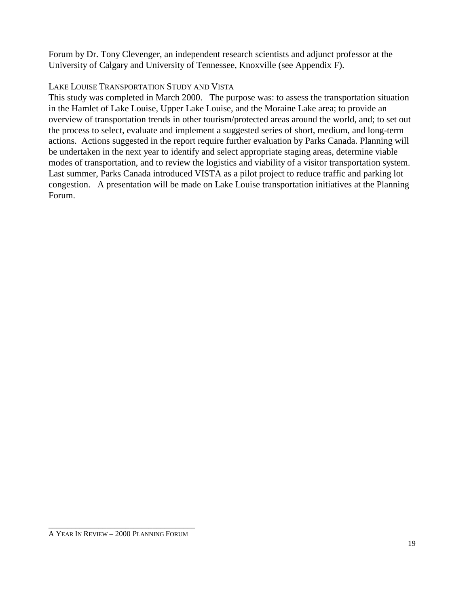Forum by Dr. Tony Clevenger, an independent research scientists and adjunct professor at the University of Calgary and University of Tennessee, Knoxville (see Appendix F).

#### LAKE LOUISE TRANSPORTATION STUDY AND VISTA

This study was completed in March 2000. The purpose was: to assess the transportation situation in the Hamlet of Lake Louise, Upper Lake Louise, and the Moraine Lake area; to provide an overview of transportation trends in other tourism/protected areas around the world, and; to set out the process to select, evaluate and implement a suggested series of short, medium, and long-term actions. Actions suggested in the report require further evaluation by Parks Canada. Planning will be undertaken in the next year to identify and select appropriate staging areas, determine viable modes of transportation, and to review the logistics and viability of a visitor transportation system. Last summer, Parks Canada introduced VISTA as a pilot project to reduce traffic and parking lot congestion. A presentation will be made on Lake Louise transportation initiatives at the Planning Forum.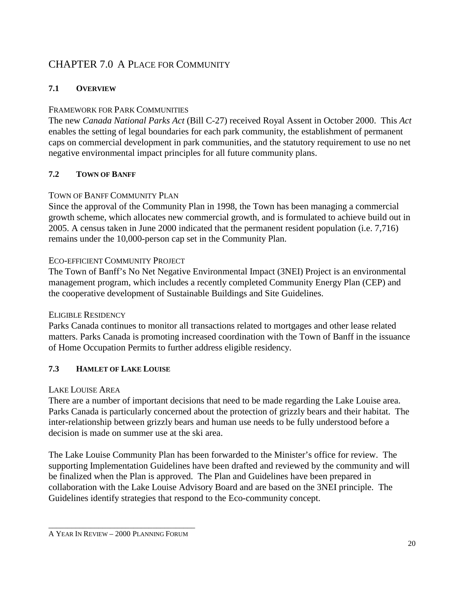# CHAPTER 7.0 A PLACE FOR COMMUNITY

# **7.1 OVERVIEW**

# FRAMEWORK FOR PARK COMMUNITIES

The new *Canada National Parks Act* (Bill C-27) received Royal Assent in October 2000. This *Act* enables the setting of legal boundaries for each park community, the establishment of permanent caps on commercial development in park communities, and the statutory requirement to use no net negative environmental impact principles for all future community plans.

#### **7.2 TOWN OF BANFF**

#### TOWN OF BANFF COMMUNITY PLAN

Since the approval of the Community Plan in 1998, the Town has been managing a commercial growth scheme, which allocates new commercial growth, and is formulated to achieve build out in 2005. A census taken in June 2000 indicated that the permanent resident population (i.e. 7,716) remains under the 10,000-person cap set in the Community Plan.

#### ECO-EFFICIENT COMMUNITY PROJECT

The Town of Banff's No Net Negative Environmental Impact (3NEI) Project is an environmental management program, which includes a recently completed Community Energy Plan (CEP) and the cooperative development of Sustainable Buildings and Site Guidelines.

#### ELIGIBLE RESIDENCY

Parks Canada continues to monitor all transactions related to mortgages and other lease related matters. Parks Canada is promoting increased coordination with the Town of Banff in the issuance of Home Occupation Permits to further address eligible residency.

# **7.3 HAMLET OF LAKE LOUISE**

#### LAKE LOUISE AREA

There are a number of important decisions that need to be made regarding the Lake Louise area. Parks Canada is particularly concerned about the protection of grizzly bears and their habitat. The inter-relationship between grizzly bears and human use needs to be fully understood before a decision is made on summer use at the ski area.

The Lake Louise Community Plan has been forwarded to the Minister's office for review. The supporting Implementation Guidelines have been drafted and reviewed by the community and will be finalized when the Plan is approved. The Plan and Guidelines have been prepared in collaboration with the Lake Louise Advisory Board and are based on the 3NEI principle. The Guidelines identify strategies that respond to the Eco-community concept.

\_\_\_\_\_\_\_\_\_\_\_\_\_\_\_\_\_\_\_\_\_\_\_\_\_\_\_\_\_\_\_\_\_\_\_\_\_\_ A YEAR IN REVIEW – 2000 PLANNING FORUM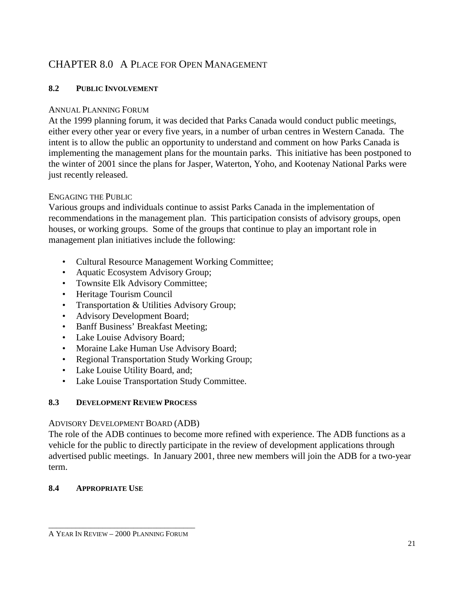# CHAPTER 8.0 A PLACE FOR OPEN MANAGEMENT

#### **8.2 PUBLIC INVOLVEMENT**

#### ANNUAL PLANNING FORUM

At the 1999 planning forum, it was decided that Parks Canada would conduct public meetings, either every other year or every five years, in a number of urban centres in Western Canada. The intent is to allow the public an opportunity to understand and comment on how Parks Canada is implementing the management plans for the mountain parks. This initiative has been postponed to the winter of 2001 since the plans for Jasper, Waterton, Yoho, and Kootenay National Parks were just recently released.

#### ENGAGING THE PUBLIC

Various groups and individuals continue to assist Parks Canada in the implementation of recommendations in the management plan. This participation consists of advisory groups, open houses, or working groups. Some of the groups that continue to play an important role in management plan initiatives include the following:

- Cultural Resource Management Working Committee;
- Aquatic Ecosystem Advisory Group;
- Townsite Elk Advisory Committee;
- Heritage Tourism Council
- Transportation & Utilities Advisory Group;
- Advisory Development Board;
- Banff Business' Breakfast Meeting;
- Lake Louise Advisory Board;
- Moraine Lake Human Use Advisory Board;
- Regional Transportation Study Working Group;
- Lake Louise Utility Board, and;
- Lake Louise Transportation Study Committee.

# **8.3 DEVELOPMENT REVIEW PROCESS**

#### ADVISORY DEVELOPMENT BOARD (ADB)

The role of the ADB continues to become more refined with experience. The ADB functions as a vehicle for the public to directly participate in the review of development applications through advertised public meetings. In January 2001, three new members will join the ADB for a two-year term.

#### **8.4 APPROPRIATE USE**

\_\_\_\_\_\_\_\_\_\_\_\_\_\_\_\_\_\_\_\_\_\_\_\_\_\_\_\_\_\_\_\_\_\_\_\_\_\_ A YEAR IN REVIEW – 2000 PLANNING FORUM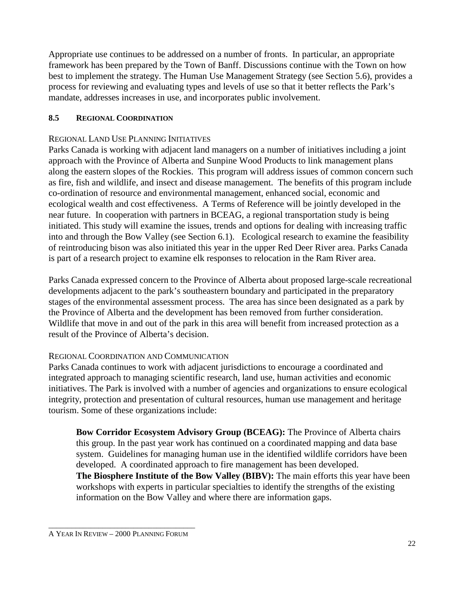Appropriate use continues to be addressed on a number of fronts. In particular, an appropriate framework has been prepared by the Town of Banff. Discussions continue with the Town on how best to implement the strategy. The Human Use Management Strategy (see Section 5.6), provides a process for reviewing and evaluating types and levels of use so that it better reflects the Park's mandate, addresses increases in use, and incorporates public involvement.

#### **8.5 REGIONAL COORDINATION**

#### REGIONAL LAND USE PLANNING INITIATIVES

Parks Canada is working with adjacent land managers on a number of initiatives including a joint approach with the Province of Alberta and Sunpine Wood Products to link management plans along the eastern slopes of the Rockies. This program will address issues of common concern such as fire, fish and wildlife, and insect and disease management. The benefits of this program include co-ordination of resource and environmental management, enhanced social, economic and ecological wealth and cost effectiveness. A Terms of Reference will be jointly developed in the near future. In cooperation with partners in BCEAG, a regional transportation study is being initiated. This study will examine the issues, trends and options for dealing with increasing traffic into and through the Bow Valley (see Section 6.1). Ecological research to examine the feasibility of reintroducing bison was also initiated this year in the upper Red Deer River area. Parks Canada is part of a research project to examine elk responses to relocation in the Ram River area.

Parks Canada expressed concern to the Province of Alberta about proposed large-scale recreational developments adjacent to the park's southeastern boundary and participated in the preparatory stages of the environmental assessment process. The area has since been designated as a park by the Province of Alberta and the development has been removed from further consideration. Wildlife that move in and out of the park in this area will benefit from increased protection as a result of the Province of Alberta's decision.

# REGIONAL COORDINATION AND COMMUNICATION

Parks Canada continues to work with adjacent jurisdictions to encourage a coordinated and integrated approach to managing scientific research, land use, human activities and economic initiatives. The Park is involved with a number of agencies and organizations to ensure ecological integrity, protection and presentation of cultural resources, human use management and heritage tourism. Some of these organizations include:

**Bow Corridor Ecosystem Advisory Group (BCEAG):** The Province of Alberta chairs this group. In the past year work has continued on a coordinated mapping and data base system. Guidelines for managing human use in the identified wildlife corridors have been developed. A coordinated approach to fire management has been developed. **The Biosphere Institute of the Bow Valley (BIBV):** The main efforts this year have been workshops with experts in particular specialties to identify the strengths of the existing information on the Bow Valley and where there are information gaps.

\_\_\_\_\_\_\_\_\_\_\_\_\_\_\_\_\_\_\_\_\_\_\_\_\_\_\_\_\_\_\_\_\_\_\_\_\_\_ A YEAR IN REVIEW – 2000 PLANNING FORUM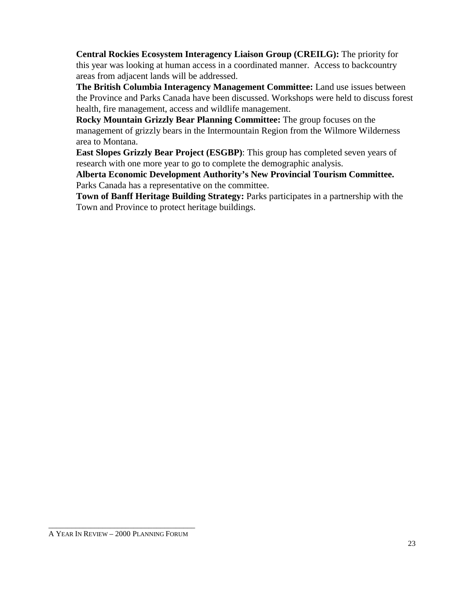**Central Rockies Ecosystem Interagency Liaison Group (CREILG):** The priority for this year was looking at human access in a coordinated manner. Access to backcountry areas from adjacent lands will be addressed.

**The British Columbia Interagency Management Committee:** Land use issues between the Province and Parks Canada have been discussed. Workshops were held to discuss forest health, fire management, access and wildlife management.

**Rocky Mountain Grizzly Bear Planning Committee:** The group focuses on the management of grizzly bears in the Intermountain Region from the Wilmore Wilderness area to Montana.

**East Slopes Grizzly Bear Project (ESGBP)**: This group has completed seven years of research with one more year to go to complete the demographic analysis.

**Alberta Economic Development Authority's New Provincial Tourism Committee.** Parks Canada has a representative on the committee.

**Town of Banff Heritage Building Strategy:** Parks participates in a partnership with the Town and Province to protect heritage buildings.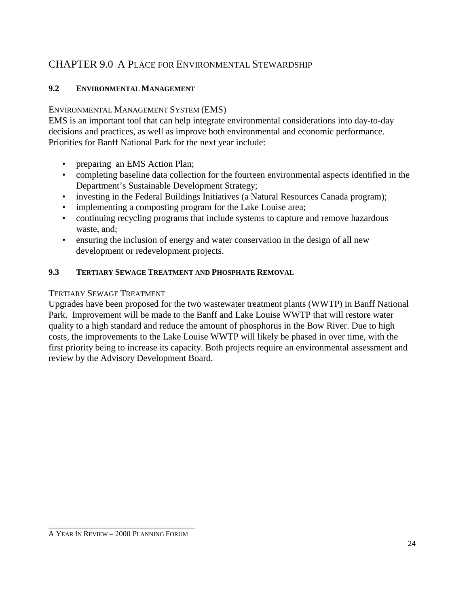# CHAPTER 9.0 A PLACE FOR ENVIRONMENTAL STEWARDSHIP

# **9.2 ENVIRONMENTAL MANAGEMENT**

#### ENVIRONMENTAL MANAGEMENT SYSTEM (EMS)

EMS is an important tool that can help integrate environmental considerations into day-to-day decisions and practices, as well as improve both environmental and economic performance. Priorities for Banff National Park for the next year include:

- preparing an EMS Action Plan;
- completing baseline data collection for the fourteen environmental aspects identified in the Department's Sustainable Development Strategy;
- investing in the Federal Buildings Initiatives (a Natural Resources Canada program);
- implementing a composting program for the Lake Louise area;
- continuing recycling programs that include systems to capture and remove hazardous waste, and;
- ensuring the inclusion of energy and water conservation in the design of all new development or redevelopment projects.

# **9.3 TERTIARY SEWAGE TREATMENT AND PHOSPHATE REMOVAL**

#### TERTIARY SEWAGE TREATMENT

Upgrades have been proposed for the two wastewater treatment plants (WWTP) in Banff National Park. Improvement will be made to the Banff and Lake Louise WWTP that will restore water quality to a high standard and reduce the amount of phosphorus in the Bow River. Due to high costs, the improvements to the Lake Louise WWTP will likely be phased in over time, with the first priority being to increase its capacity. Both projects require an environmental assessment and review by the Advisory Development Board.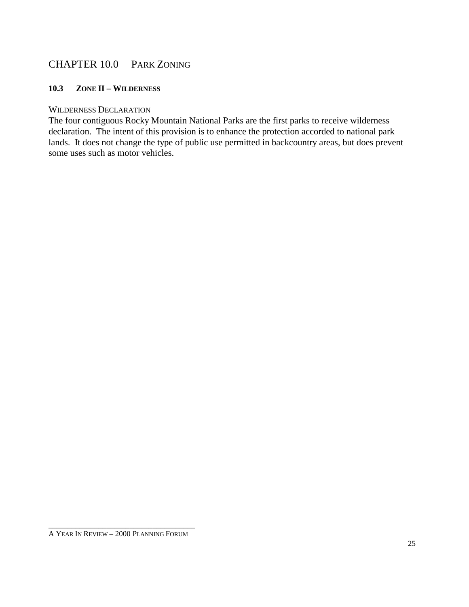# CHAPTER 10.0 PARK ZONING

#### **10.3 ZONE II – WILDERNESS**

#### WILDERNESS DECLARATION

The four contiguous Rocky Mountain National Parks are the first parks to receive wilderness declaration. The intent of this provision is to enhance the protection accorded to national park lands. It does not change the type of public use permitted in backcountry areas, but does prevent some uses such as motor vehicles.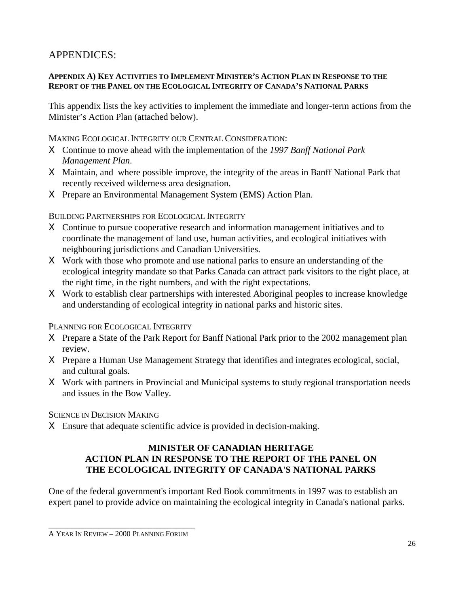# APPENDICES:

#### **APPENDIX A) KEY ACTIVITIES TO IMPLEMENT MINISTER'S ACTION PLAN IN RESPONSE TO THE REPORT OF THE PANEL ON THE ECOLOGICAL INTEGRITY OF CANADA'S NATIONAL PARKS**

This appendix lists the key activities to implement the immediate and longer-term actions from the Minister's Action Plan (attached below).

MAKING ECOLOGICAL INTEGRITY OUR CENTRAL CONSIDERATION:

- Χ Continue to move ahead with the implementation of the *1997 Banff National Park Management Plan*.
- Χ Maintain, and where possible improve, the integrity of the areas in Banff National Park that recently received wilderness area designation.
- Χ Prepare an Environmental Management System (EMS) Action Plan.

#### BUILDING PARTNERSHIPS FOR ECOLOGICAL INTEGRITY

- Χ Continue to pursue cooperative research and information management initiatives and to coordinate the management of land use, human activities, and ecological initiatives with neighbouring jurisdictions and Canadian Universities.
- Χ Work with those who promote and use national parks to ensure an understanding of the ecological integrity mandate so that Parks Canada can attract park visitors to the right place, at the right time, in the right numbers, and with the right expectations.
- Χ Work to establish clear partnerships with interested Aboriginal peoples to increase knowledge and understanding of ecological integrity in national parks and historic sites.
- PLANNING FOR ECOLOGICAL INTEGRITY
- Χ Prepare a State of the Park Report for Banff National Park prior to the 2002 management plan review.
- Χ Prepare a Human Use Management Strategy that identifies and integrates ecological, social, and cultural goals.
- Χ Work with partners in Provincial and Municipal systems to study regional transportation needs and issues in the Bow Valley.

SCIENCE IN DECISION MAKING

Χ Ensure that adequate scientific advice is provided in decision-making.

# **MINISTER OF CANADIAN HERITAGE ACTION PLAN IN RESPONSE TO THE REPORT OF THE PANEL ON THE ECOLOGICAL INTEGRITY OF CANADA'S NATIONAL PARKS**

One of the federal government's important Red Book commitments in 1997 was to establish an expert panel to provide advice on maintaining the ecological integrity in Canada's national parks.

\_\_\_\_\_\_\_\_\_\_\_\_\_\_\_\_\_\_\_\_\_\_\_\_\_\_\_\_\_\_\_\_\_\_\_\_\_\_ A YEAR IN REVIEW – 2000 PLANNING FORUM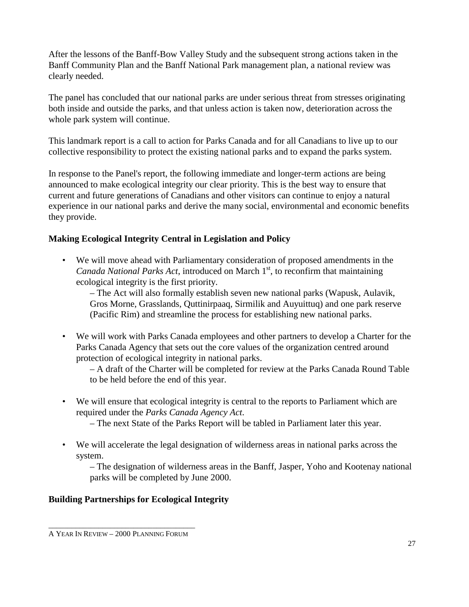After the lessons of the Banff-Bow Valley Study and the subsequent strong actions taken in the Banff Community Plan and the Banff National Park management plan, a national review was clearly needed.

The panel has concluded that our national parks are under serious threat from stresses originating both inside and outside the parks, and that unless action is taken now, deterioration across the whole park system will continue.

This landmark report is a call to action for Parks Canada and for all Canadians to live up to our collective responsibility to protect the existing national parks and to expand the parks system.

In response to the Panel's report, the following immediate and longer-term actions are being announced to make ecological integrity our clear priority. This is the best way to ensure that current and future generations of Canadians and other visitors can continue to enjoy a natural experience in our national parks and derive the many social, environmental and economic benefits they provide.

# **Making Ecological Integrity Central in Legislation and Policy**

• We will move ahead with Parliamentary consideration of proposed amendments in the *Canada National Parks Act*, introduced on March 1<sup>st</sup>, to reconfirm that maintaining ecological integrity is the first priority.

– The Act will also formally establish seven new national parks (Wapusk, Aulavik, Gros Morne, Grasslands, Quttinirpaaq, Sirmilik and Auyuittuq) and one park reserve (Pacific Rim) and streamline the process for establishing new national parks.

• We will work with Parks Canada employees and other partners to develop a Charter for the Parks Canada Agency that sets out the core values of the organization centred around protection of ecological integrity in national parks.

– A draft of the Charter will be completed for review at the Parks Canada Round Table to be held before the end of this year.

• We will ensure that ecological integrity is central to the reports to Parliament which are required under the *Parks Canada Agency Act*.

– The next State of the Parks Report will be tabled in Parliament later this year.

• We will accelerate the legal designation of wilderness areas in national parks across the system.

– The designation of wilderness areas in the Banff, Jasper, Yoho and Kootenay national parks will be completed by June 2000.

# **Building Partnerships for Ecological Integrity**

\_\_\_\_\_\_\_\_\_\_\_\_\_\_\_\_\_\_\_\_\_\_\_\_\_\_\_\_\_\_\_\_\_\_\_\_\_\_ A YEAR IN REVIEW – 2000 PLANNING FORUM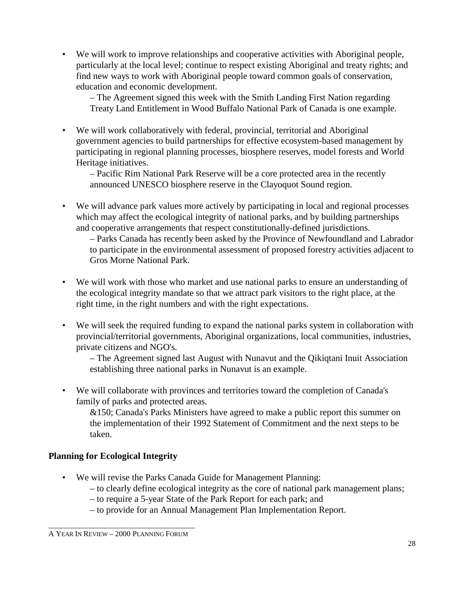• We will work to improve relationships and cooperative activities with Aboriginal people, particularly at the local level; continue to respect existing Aboriginal and treaty rights; and find new ways to work with Aboriginal people toward common goals of conservation, education and economic development.

– The Agreement signed this week with the Smith Landing First Nation regarding Treaty Land Entitlement in Wood Buffalo National Park of Canada is one example.

• We will work collaboratively with federal, provincial, territorial and Aboriginal government agencies to build partnerships for effective ecosystem-based management by participating in regional planning processes, biosphere reserves, model forests and World Heritage initiatives.

– Pacific Rim National Park Reserve will be a core protected area in the recently announced UNESCO biosphere reserve in the Clayoquot Sound region.

• We will advance park values more actively by participating in local and regional processes which may affect the ecological integrity of national parks, and by building partnerships and cooperative arrangements that respect constitutionally-defined jurisdictions.

– Parks Canada has recently been asked by the Province of Newfoundland and Labrador to participate in the environmental assessment of proposed forestry activities adjacent to Gros Morne National Park.

- We will work with those who market and use national parks to ensure an understanding of the ecological integrity mandate so that we attract park visitors to the right place, at the right time, in the right numbers and with the right expectations.
- We will seek the required funding to expand the national parks system in collaboration with provincial/territorial governments, Aboriginal organizations, local communities, industries, private citizens and NGO's.

– The Agreement signed last August with Nunavut and the Qikiqtani Inuit Association establishing three national parks in Nunavut is an example.

• We will collaborate with provinces and territories toward the completion of Canada's family of parks and protected areas.

&150; Canada's Parks Ministers have agreed to make a public report this summer on the implementation of their 1992 Statement of Commitment and the next steps to be taken.

# **Planning for Ecological Integrity**

- We will revise the Parks Canada Guide for Management Planning:
	- to clearly define ecological integrity as the core of national park management plans;
	- to require a 5-year State of the Park Report for each park; and
	- to provide for an Annual Management Plan Implementation Report.

\_\_\_\_\_\_\_\_\_\_\_\_\_\_\_\_\_\_\_\_\_\_\_\_\_\_\_\_\_\_\_\_\_\_\_\_\_\_ A YEAR IN REVIEW – 2000 PLANNING FORUM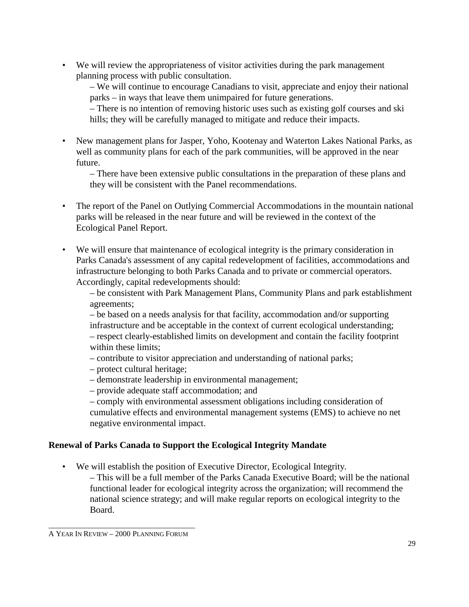• We will review the appropriateness of visitor activities during the park management planning process with public consultation.

– We will continue to encourage Canadians to visit, appreciate and enjoy their national parks – in ways that leave them unimpaired for future generations.

– There is no intention of removing historic uses such as existing golf courses and ski hills; they will be carefully managed to mitigate and reduce their impacts.

• New management plans for Jasper, Yoho, Kootenay and Waterton Lakes National Parks, as well as community plans for each of the park communities, will be approved in the near future.

– There have been extensive public consultations in the preparation of these plans and they will be consistent with the Panel recommendations.

- The report of the Panel on Outlying Commercial Accommodations in the mountain national parks will be released in the near future and will be reviewed in the context of the Ecological Panel Report.
- We will ensure that maintenance of ecological integrity is the primary consideration in Parks Canada's assessment of any capital redevelopment of facilities, accommodations and infrastructure belonging to both Parks Canada and to private or commercial operators. Accordingly, capital redevelopments should:

– be consistent with Park Management Plans, Community Plans and park establishment agreements;

– be based on a needs analysis for that facility, accommodation and/or supporting infrastructure and be acceptable in the context of current ecological understanding; – respect clearly-established limits on development and contain the facility footprint within these limits;

- contribute to visitor appreciation and understanding of national parks;
- protect cultural heritage;
- demonstrate leadership in environmental management;
- provide adequate staff accommodation; and

– comply with environmental assessment obligations including consideration of cumulative effects and environmental management systems (EMS) to achieve no net negative environmental impact.

# **Renewal of Parks Canada to Support the Ecological Integrity Mandate**

• We will establish the position of Executive Director, Ecological Integrity.

– This will be a full member of the Parks Canada Executive Board; will be the national functional leader for ecological integrity across the organization; will recommend the national science strategy; and will make regular reports on ecological integrity to the Board.

\_\_\_\_\_\_\_\_\_\_\_\_\_\_\_\_\_\_\_\_\_\_\_\_\_\_\_\_\_\_\_\_\_\_\_\_\_\_ A YEAR IN REVIEW – 2000 PLANNING FORUM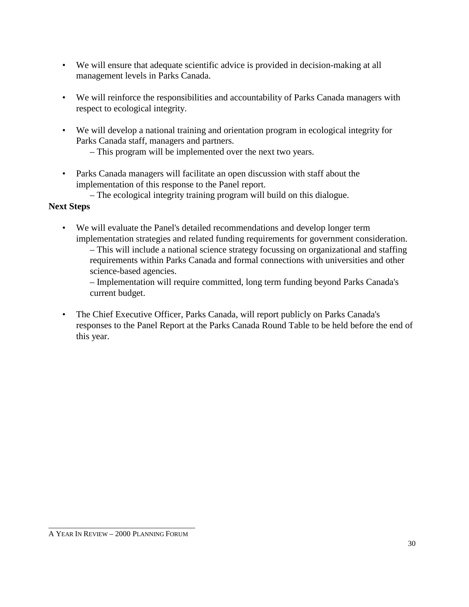- We will ensure that adequate scientific advice is provided in decision-making at all management levels in Parks Canada.
- We will reinforce the responsibilities and accountability of Parks Canada managers with respect to ecological integrity.
- We will develop a national training and orientation program in ecological integrity for Parks Canada staff, managers and partners.
	- This program will be implemented over the next two years.
- Parks Canada managers will facilitate an open discussion with staff about the implementation of this response to the Panel report.
	- The ecological integrity training program will build on this dialogue.

#### **Next Steps**

• We will evaluate the Panel's detailed recommendations and develop longer term implementation strategies and related funding requirements for government consideration. – This will include a national science strategy focussing on organizational and staffing requirements within Parks Canada and formal connections with universities and other science-based agencies.

– Implementation will require committed, long term funding beyond Parks Canada's current budget.

• The Chief Executive Officer, Parks Canada, will report publicly on Parks Canada's responses to the Panel Report at the Parks Canada Round Table to be held before the end of this year.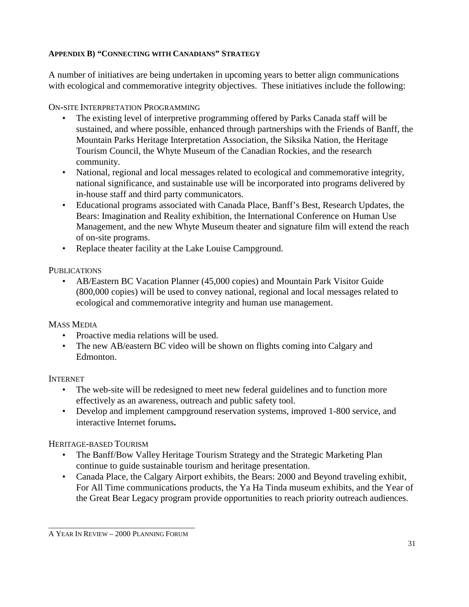#### **APPENDIX B) "CONNECTING WITH CANADIANS" STRATEGY**

A number of initiatives are being undertaken in upcoming years to better align communications with ecological and commemorative integrity objectives. These initiatives include the following:

#### ON-SITE INTERPRETATION PROGRAMMING

- The existing level of interpretive programming offered by Parks Canada staff will be sustained, and where possible, enhanced through partnerships with the Friends of Banff, the Mountain Parks Heritage Interpretation Association, the Siksika Nation, the Heritage Tourism Council, the Whyte Museum of the Canadian Rockies, and the research community.
- National, regional and local messages related to ecological and commemorative integrity, national significance, and sustainable use will be incorporated into programs delivered by in-house staff and third party communicators.
- Educational programs associated with Canada Place, Banff's Best, Research Updates, the Bears: Imagination and Reality exhibition, the International Conference on Human Use Management, and the new Whyte Museum theater and signature film will extend the reach of on-site programs.
- Replace theater facility at the Lake Louise Campground.

#### **PUBLICATIONS**

• AB/Eastern BC Vacation Planner (45,000 copies) and Mountain Park Visitor Guide (800,000 copies) will be used to convey national, regional and local messages related to ecological and commemorative integrity and human use management.

MASS MEDIA

- Proactive media relations will be used.
- The new AB/eastern BC video will be shown on flights coming into Calgary and Edmonton.

#### **INTERNET**

- The web-site will be redesigned to meet new federal guidelines and to function more effectively as an awareness, outreach and public safety tool.
- Develop and implement campground reservation systems, improved 1-800 service, and interactive Internet forums**.**

#### HERITAGE-BASED TOURISM

- The Banff/Bow Valley Heritage Tourism Strategy and the Strategic Marketing Plan continue to guide sustainable tourism and heritage presentation.
- Canada Place, the Calgary Airport exhibits, the Bears: 2000 and Beyond traveling exhibit, For All Time communications products, the Ya Ha Tinda museum exhibits, and the Year of the Great Bear Legacy program provide opportunities to reach priority outreach audiences.

\_\_\_\_\_\_\_\_\_\_\_\_\_\_\_\_\_\_\_\_\_\_\_\_\_\_\_\_\_\_\_\_\_\_\_\_\_\_ A YEAR IN REVIEW – 2000 PLANNING FORUM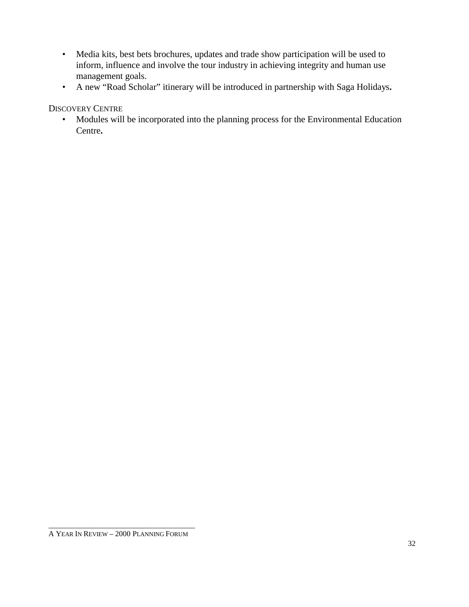- Media kits, best bets brochures, updates and trade show participation will be used to inform, influence and involve the tour industry in achieving integrity and human use management goals.
- A new "Road Scholar" itinerary will be introduced in partnership with Saga Holidays**.**

DISCOVERY CENTRE

• Modules will be incorporated into the planning process for the Environmental Education Centre**.**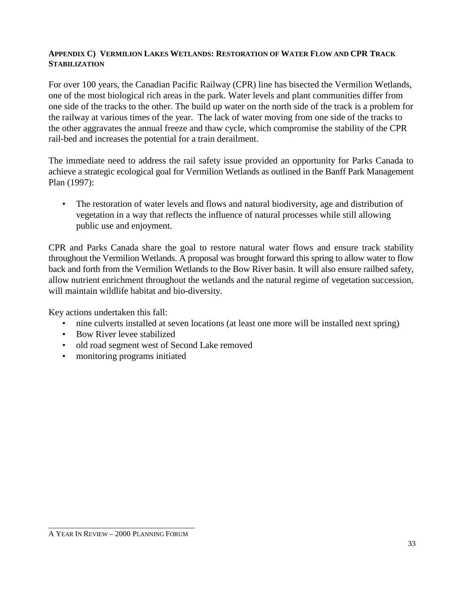#### **APPENDIX C) VERMILION LAKES WETLANDS: RESTORATION OF WATER FLOW AND CPR TRACK STABILIZATION**

For over 100 years, the Canadian Pacific Railway (CPR) line has bisected the Vermilion Wetlands, one of the most biological rich areas in the park. Water levels and plant communities differ from one side of the tracks to the other. The build up water on the north side of the track is a problem for the railway at various times of the year. The lack of water moving from one side of the tracks to the other aggravates the annual freeze and thaw cycle, which compromise the stability of the CPR rail-bed and increases the potential for a train derailment.

The immediate need to address the rail safety issue provided an opportunity for Parks Canada to achieve a strategic ecological goal for Vermilion Wetlands as outlined in the Banff Park Management Plan (1997):

• The restoration of water levels and flows and natural biodiversity, age and distribution of vegetation in a way that reflects the influence of natural processes while still allowing public use and enjoyment.

CPR and Parks Canada share the goal to restore natural water flows and ensure track stability throughout the Vermilion Wetlands. A proposal was brought forward this spring to allow water to flow back and forth from the Vermilion Wetlands to the Bow River basin. It will also ensure railbed safety, allow nutrient enrichment throughout the wetlands and the natural regime of vegetation succession, will maintain wildlife habitat and bio-diversity.

Key actions undertaken this fall:

- nine culverts installed at seven locations (at least one more will be installed next spring)
- Bow River levee stabilized
- old road segment west of Second Lake removed
- monitoring programs initiated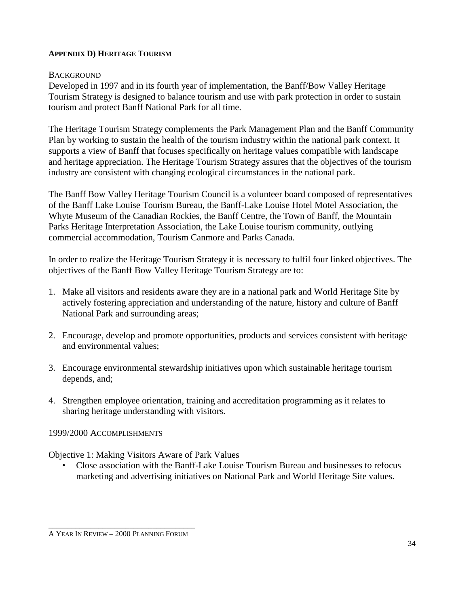#### **APPENDIX D) HERITAGE TOURISM**

#### **BACKGROUND**

Developed in 1997 and in its fourth year of implementation, the Banff/Bow Valley Heritage Tourism Strategy is designed to balance tourism and use with park protection in order to sustain tourism and protect Banff National Park for all time.

The Heritage Tourism Strategy complements the Park Management Plan and the Banff Community Plan by working to sustain the health of the tourism industry within the national park context. It supports a view of Banff that focuses specifically on heritage values compatible with landscape and heritage appreciation. The Heritage Tourism Strategy assures that the objectives of the tourism industry are consistent with changing ecological circumstances in the national park.

The Banff Bow Valley Heritage Tourism Council is a volunteer board composed of representatives of the Banff Lake Louise Tourism Bureau, the Banff-Lake Louise Hotel Motel Association, the Whyte Museum of the Canadian Rockies, the Banff Centre, the Town of Banff, the Mountain Parks Heritage Interpretation Association, the Lake Louise tourism community, outlying commercial accommodation, Tourism Canmore and Parks Canada.

In order to realize the Heritage Tourism Strategy it is necessary to fulfil four linked objectives. The objectives of the Banff Bow Valley Heritage Tourism Strategy are to:

- 1. Make all visitors and residents aware they are in a national park and World Heritage Site by actively fostering appreciation and understanding of the nature, history and culture of Banff National Park and surrounding areas;
- 2. Encourage, develop and promote opportunities, products and services consistent with heritage and environmental values;
- 3. Encourage environmental stewardship initiatives upon which sustainable heritage tourism depends, and;
- 4. Strengthen employee orientation, training and accreditation programming as it relates to sharing heritage understanding with visitors.

#### 1999/2000 ACCOMPLISHMENTS

Objective 1: Making Visitors Aware of Park Values

• Close association with the Banff-Lake Louise Tourism Bureau and businesses to refocus marketing and advertising initiatives on National Park and World Heritage Site values.

\_\_\_\_\_\_\_\_\_\_\_\_\_\_\_\_\_\_\_\_\_\_\_\_\_\_\_\_\_\_\_\_\_\_\_\_\_\_ A YEAR IN REVIEW – 2000 PLANNING FORUM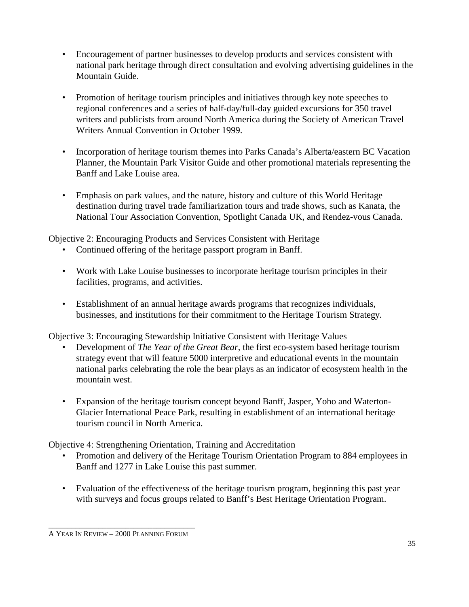- Encouragement of partner businesses to develop products and services consistent with national park heritage through direct consultation and evolving advertising guidelines in the Mountain Guide.
- Promotion of heritage tourism principles and initiatives through key note speeches to regional conferences and a series of half-day/full-day guided excursions for 350 travel writers and publicists from around North America during the Society of American Travel Writers Annual Convention in October 1999.
- Incorporation of heritage tourism themes into Parks Canada's Alberta/eastern BC Vacation Planner, the Mountain Park Visitor Guide and other promotional materials representing the Banff and Lake Louise area.
- Emphasis on park values, and the nature, history and culture of this World Heritage destination during travel trade familiarization tours and trade shows, such as Kanata, the National Tour Association Convention, Spotlight Canada UK, and Rendez-vous Canada.

Objective 2: Encouraging Products and Services Consistent with Heritage

- Continued offering of the heritage passport program in Banff.
- Work with Lake Louise businesses to incorporate heritage tourism principles in their facilities, programs, and activities.
- Establishment of an annual heritage awards programs that recognizes individuals, businesses, and institutions for their commitment to the Heritage Tourism Strategy.

Objective 3: Encouraging Stewardship Initiative Consistent with Heritage Values

- Development of *The Year of the Great Bear*, the first eco-system based heritage tourism strategy event that will feature 5000 interpretive and educational events in the mountain national parks celebrating the role the bear plays as an indicator of ecosystem health in the mountain west.
- Expansion of the heritage tourism concept beyond Banff, Jasper, Yoho and Waterton-Glacier International Peace Park, resulting in establishment of an international heritage tourism council in North America.

Objective 4: Strengthening Orientation, Training and Accreditation

- Promotion and delivery of the Heritage Tourism Orientation Program to 884 employees in Banff and 1277 in Lake Louise this past summer.
- Evaluation of the effectiveness of the heritage tourism program, beginning this past year with surveys and focus groups related to Banff's Best Heritage Orientation Program.

\_\_\_\_\_\_\_\_\_\_\_\_\_\_\_\_\_\_\_\_\_\_\_\_\_\_\_\_\_\_\_\_\_\_\_\_\_\_ A YEAR IN REVIEW – 2000 PLANNING FORUM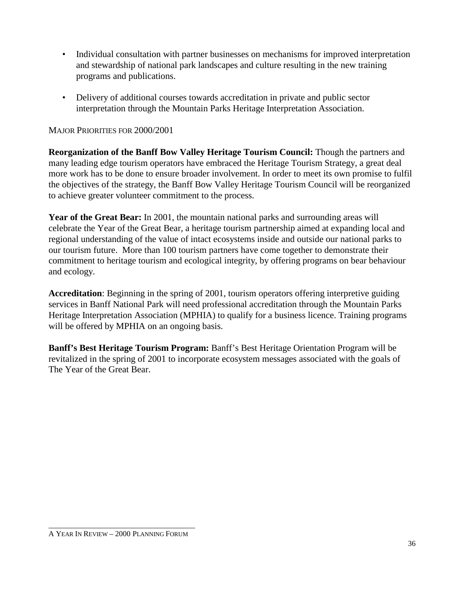- Individual consultation with partner businesses on mechanisms for improved interpretation and stewardship of national park landscapes and culture resulting in the new training programs and publications.
- Delivery of additional courses towards accreditation in private and public sector interpretation through the Mountain Parks Heritage Interpretation Association.

#### MAJOR PRIORITIES FOR 2000/2001

**Reorganization of the Banff Bow Valley Heritage Tourism Council:** Though the partners and many leading edge tourism operators have embraced the Heritage Tourism Strategy, a great deal more work has to be done to ensure broader involvement. In order to meet its own promise to fulfil the objectives of the strategy, the Banff Bow Valley Heritage Tourism Council will be reorganized to achieve greater volunteer commitment to the process.

Year of the Great Bear: In 2001, the mountain national parks and surrounding areas will celebrate the Year of the Great Bear, a heritage tourism partnership aimed at expanding local and regional understanding of the value of intact ecosystems inside and outside our national parks to our tourism future. More than 100 tourism partners have come together to demonstrate their commitment to heritage tourism and ecological integrity, by offering programs on bear behaviour and ecology.

**Accreditation**: Beginning in the spring of 2001, tourism operators offering interpretive guiding services in Banff National Park will need professional accreditation through the Mountain Parks Heritage Interpretation Association (MPHIA) to qualify for a business licence. Training programs will be offered by MPHIA on an ongoing basis.

**Banff's Best Heritage Tourism Program:** Banff's Best Heritage Orientation Program will be revitalized in the spring of 2001 to incorporate ecosystem messages associated with the goals of The Year of the Great Bear.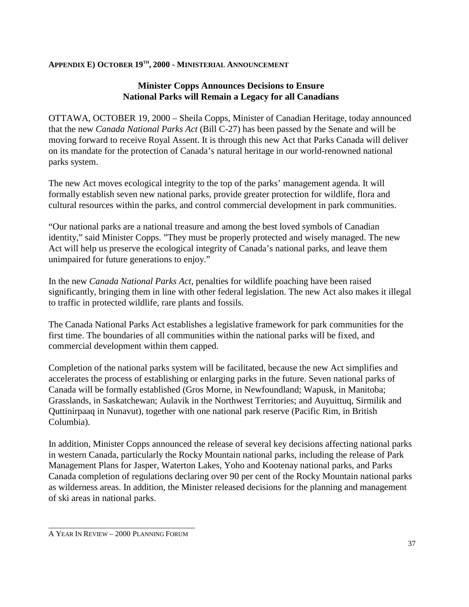#### **APPENDIX E) OCTOBER 19TH, 2000 - MINISTERIAL ANNOUNCEMENT**

#### **Minister Copps Announces Decisions to Ensure National Parks will Remain a Legacy for all Canadians**

OTTAWA, OCTOBER 19, 2000 – Sheila Copps, Minister of Canadian Heritage, today announced that the new *Canada National Parks Act* (Bill C-27) has been passed by the Senate and will be moving forward to receive Royal Assent. It is through this new Act that Parks Canada will deliver on its mandate for the protection of Canada's natural heritage in our world-renowned national parks system.

The new Act moves ecological integrity to the top of the parks' management agenda. It will formally establish seven new national parks, provide greater protection for wildlife, flora and cultural resources within the parks, and control commercial development in park communities.

"Our national parks are a national treasure and among the best loved symbols of Canadian identity," said Minister Copps. "They must be properly protected and wisely managed. The new Act will help us preserve the ecological integrity of Canada's national parks, and leave them unimpaired for future generations to enjoy."

In the new *Canada National Parks Act*, penalties for wildlife poaching have been raised significantly, bringing them in line with other federal legislation. The new Act also makes it illegal to traffic in protected wildlife, rare plants and fossils.

The Canada National Parks Act establishes a legislative framework for park communities for the first time. The boundaries of all communities within the national parks will be fixed, and commercial development within them capped.

Completion of the national parks system will be facilitated, because the new Act simplifies and accelerates the process of establishing or enlarging parks in the future. Seven national parks of Canada will be formally established (Gros Morne, in Newfoundland; Wapusk, in Manitoba; Grasslands, in Saskatchewan; Aulavik in the Northwest Territories; and Auyuittuq, Sirmilik and Quttinirpaaq in Nunavut), together with one national park reserve (Pacific Rim, in British Columbia).

In addition, Minister Copps announced the release of several key decisions affecting national parks in western Canada, particularly the Rocky Mountain national parks, including the release of Park Management Plans for Jasper, Waterton Lakes, Yoho and Kootenay national parks, and Parks Canada completion of regulations declaring over 90 per cent of the Rocky Mountain national parks as wilderness areas. In addition, the Minister released decisions for the planning and management of ski areas in national parks.

\_\_\_\_\_\_\_\_\_\_\_\_\_\_\_\_\_\_\_\_\_\_\_\_\_\_\_\_\_\_\_\_\_\_\_\_\_\_ A YEAR IN REVIEW – 2000 PLANNING FORUM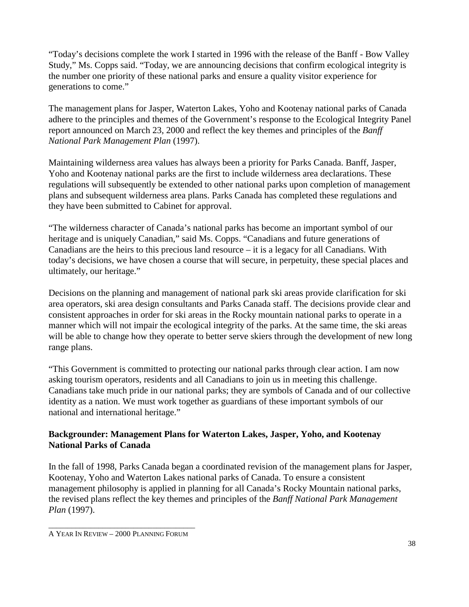"Today's decisions complete the work I started in 1996 with the release of the Banff - Bow Valley Study," Ms. Copps said. "Today, we are announcing decisions that confirm ecological integrity is the number one priority of these national parks and ensure a quality visitor experience for generations to come."

The management plans for Jasper, Waterton Lakes, Yoho and Kootenay national parks of Canada adhere to the principles and themes of the Government's response to the Ecological Integrity Panel report announced on March 23, 2000 and reflect the key themes and principles of the *Banff National Park Management Plan* (1997).

Maintaining wilderness area values has always been a priority for Parks Canada. Banff, Jasper, Yoho and Kootenay national parks are the first to include wilderness area declarations. These regulations will subsequently be extended to other national parks upon completion of management plans and subsequent wilderness area plans. Parks Canada has completed these regulations and they have been submitted to Cabinet for approval.

"The wilderness character of Canada's national parks has become an important symbol of our heritage and is uniquely Canadian," said Ms. Copps. "Canadians and future generations of Canadians are the heirs to this precious land resource – it is a legacy for all Canadians. With today's decisions, we have chosen a course that will secure, in perpetuity, these special places and ultimately, our heritage."

Decisions on the planning and management of national park ski areas provide clarification for ski area operators, ski area design consultants and Parks Canada staff. The decisions provide clear and consistent approaches in order for ski areas in the Rocky mountain national parks to operate in a manner which will not impair the ecological integrity of the parks. At the same time, the ski areas will be able to change how they operate to better serve skiers through the development of new long range plans.

"This Government is committed to protecting our national parks through clear action. I am now asking tourism operators, residents and all Canadians to join us in meeting this challenge. Canadians take much pride in our national parks; they are symbols of Canada and of our collective identity as a nation. We must work together as guardians of these important symbols of our national and international heritage."

# **Backgrounder: Management Plans for Waterton Lakes, Jasper, Yoho, and Kootenay National Parks of Canada**

In the fall of 1998, Parks Canada began a coordinated revision of the management plans for Jasper, Kootenay, Yoho and Waterton Lakes national parks of Canada. To ensure a consistent management philosophy is applied in planning for all Canada's Rocky Mountain national parks, the revised plans reflect the key themes and principles of the *Banff National Park Management Plan* (1997).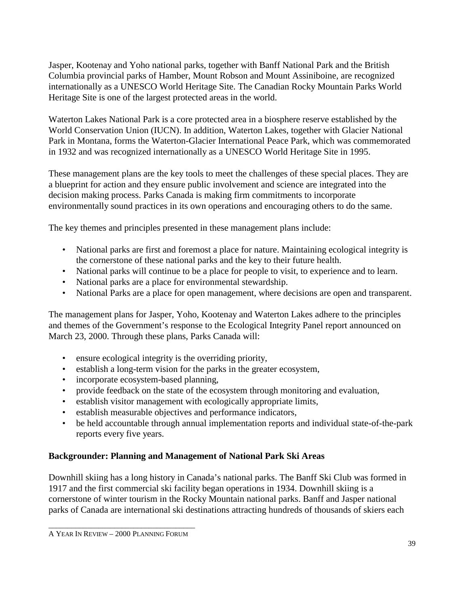Jasper, Kootenay and Yoho national parks, together with Banff National Park and the British Columbia provincial parks of Hamber, Mount Robson and Mount Assiniboine, are recognized internationally as a UNESCO World Heritage Site. The Canadian Rocky Mountain Parks World Heritage Site is one of the largest protected areas in the world.

Waterton Lakes National Park is a core protected area in a biosphere reserve established by the World Conservation Union (IUCN). In addition, Waterton Lakes, together with Glacier National Park in Montana, forms the Waterton-Glacier International Peace Park, which was commemorated in 1932 and was recognized internationally as a UNESCO World Heritage Site in 1995.

These management plans are the key tools to meet the challenges of these special places. They are a blueprint for action and they ensure public involvement and science are integrated into the decision making process. Parks Canada is making firm commitments to incorporate environmentally sound practices in its own operations and encouraging others to do the same.

The key themes and principles presented in these management plans include:

- National parks are first and foremost a place for nature. Maintaining ecological integrity is the cornerstone of these national parks and the key to their future health.
- National parks will continue to be a place for people to visit, to experience and to learn.
- National parks are a place for environmental stewardship.
- National Parks are a place for open management, where decisions are open and transparent.

The management plans for Jasper, Yoho, Kootenay and Waterton Lakes adhere to the principles and themes of the Government's response to the Ecological Integrity Panel report announced on March 23, 2000. Through these plans, Parks Canada will:

- ensure ecological integrity is the overriding priority,
- establish a long-term vision for the parks in the greater ecosystem,
- incorporate ecosystem-based planning,
- provide feedback on the state of the ecosystem through monitoring and evaluation,
- establish visitor management with ecologically appropriate limits,
- establish measurable objectives and performance indicators,
- be held accountable through annual implementation reports and individual state-of-the-park reports every five years.

# **Backgrounder: Planning and Management of National Park Ski Areas**

Downhill skiing has a long history in Canada's national parks. The Banff Ski Club was formed in 1917 and the first commercial ski facility began operations in 1934. Downhill skiing is a cornerstone of winter tourism in the Rocky Mountain national parks. Banff and Jasper national parks of Canada are international ski destinations attracting hundreds of thousands of skiers each

\_\_\_\_\_\_\_\_\_\_\_\_\_\_\_\_\_\_\_\_\_\_\_\_\_\_\_\_\_\_\_\_\_\_\_\_\_\_ A YEAR IN REVIEW – 2000 PLANNING FORUM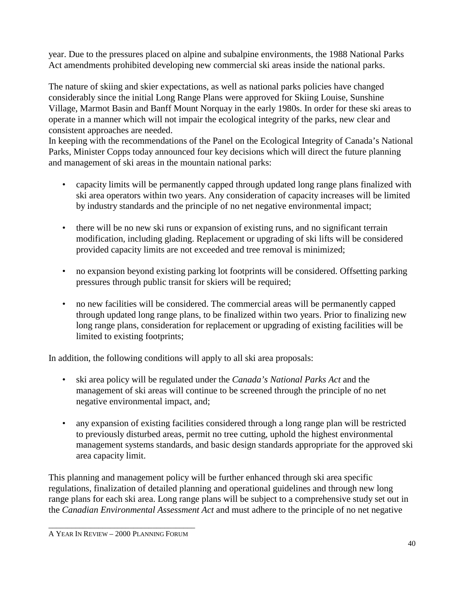year. Due to the pressures placed on alpine and subalpine environments, the 1988 National Parks Act amendments prohibited developing new commercial ski areas inside the national parks.

The nature of skiing and skier expectations, as well as national parks policies have changed considerably since the initial Long Range Plans were approved for Skiing Louise, Sunshine Village, Marmot Basin and Banff Mount Norquay in the early 1980s. In order for these ski areas to operate in a manner which will not impair the ecological integrity of the parks, new clear and consistent approaches are needed.

In keeping with the recommendations of the Panel on the Ecological Integrity of Canada's National Parks, Minister Copps today announced four key decisions which will direct the future planning and management of ski areas in the mountain national parks:

- capacity limits will be permanently capped through updated long range plans finalized with ski area operators within two years. Any consideration of capacity increases will be limited by industry standards and the principle of no net negative environmental impact;
- there will be no new ski runs or expansion of existing runs, and no significant terrain modification, including glading. Replacement or upgrading of ski lifts will be considered provided capacity limits are not exceeded and tree removal is minimized;
- no expansion beyond existing parking lot footprints will be considered. Offsetting parking pressures through public transit for skiers will be required;
- no new facilities will be considered. The commercial areas will be permanently capped through updated long range plans, to be finalized within two years. Prior to finalizing new long range plans, consideration for replacement or upgrading of existing facilities will be limited to existing footprints;

In addition, the following conditions will apply to all ski area proposals:

- ski area policy will be regulated under the *Canada's National Parks Act* and the management of ski areas will continue to be screened through the principle of no net negative environmental impact, and;
- any expansion of existing facilities considered through a long range plan will be restricted to previously disturbed areas, permit no tree cutting, uphold the highest environmental management systems standards, and basic design standards appropriate for the approved ski area capacity limit.

This planning and management policy will be further enhanced through ski area specific regulations, finalization of detailed planning and operational guidelines and through new long range plans for each ski area. Long range plans will be subject to a comprehensive study set out in the *Canadian Environmental Assessment Act* and must adhere to the principle of no net negative

\_\_\_\_\_\_\_\_\_\_\_\_\_\_\_\_\_\_\_\_\_\_\_\_\_\_\_\_\_\_\_\_\_\_\_\_\_\_ A YEAR IN REVIEW – 2000 PLANNING FORUM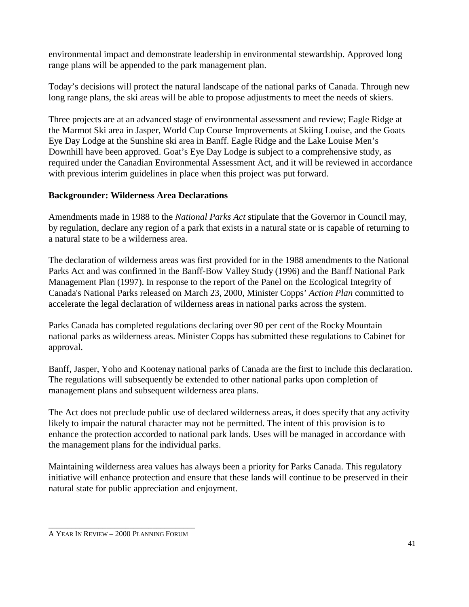environmental impact and demonstrate leadership in environmental stewardship. Approved long range plans will be appended to the park management plan.

Today's decisions will protect the natural landscape of the national parks of Canada. Through new long range plans, the ski areas will be able to propose adjustments to meet the needs of skiers.

Three projects are at an advanced stage of environmental assessment and review; Eagle Ridge at the Marmot Ski area in Jasper, World Cup Course Improvements at Skiing Louise, and the Goats Eye Day Lodge at the Sunshine ski area in Banff. Eagle Ridge and the Lake Louise Men's Downhill have been approved. Goat's Eye Day Lodge is subject to a comprehensive study, as required under the Canadian Environmental Assessment Act, and it will be reviewed in accordance with previous interim guidelines in place when this project was put forward.

#### **Backgrounder: Wilderness Area Declarations**

Amendments made in 1988 to the *National Parks Act* stipulate that the Governor in Council may, by regulation, declare any region of a park that exists in a natural state or is capable of returning to a natural state to be a wilderness area.

The declaration of wilderness areas was first provided for in the 1988 amendments to the National Parks Act and was confirmed in the Banff-Bow Valley Study (1996) and the Banff National Park Management Plan (1997). In response to the report of the Panel on the Ecological Integrity of Canada's National Parks released on March 23, 2000, Minister Copps' *Action Plan* committed to accelerate the legal declaration of wilderness areas in national parks across the system.

Parks Canada has completed regulations declaring over 90 per cent of the Rocky Mountain national parks as wilderness areas. Minister Copps has submitted these regulations to Cabinet for approval.

Banff, Jasper, Yoho and Kootenay national parks of Canada are the first to include this declaration. The regulations will subsequently be extended to other national parks upon completion of management plans and subsequent wilderness area plans.

The Act does not preclude public use of declared wilderness areas, it does specify that any activity likely to impair the natural character may not be permitted. The intent of this provision is to enhance the protection accorded to national park lands. Uses will be managed in accordance with the management plans for the individual parks.

Maintaining wilderness area values has always been a priority for Parks Canada. This regulatory initiative will enhance protection and ensure that these lands will continue to be preserved in their natural state for public appreciation and enjoyment.

\_\_\_\_\_\_\_\_\_\_\_\_\_\_\_\_\_\_\_\_\_\_\_\_\_\_\_\_\_\_\_\_\_\_\_\_\_\_ A YEAR IN REVIEW – 2000 PLANNING FORUM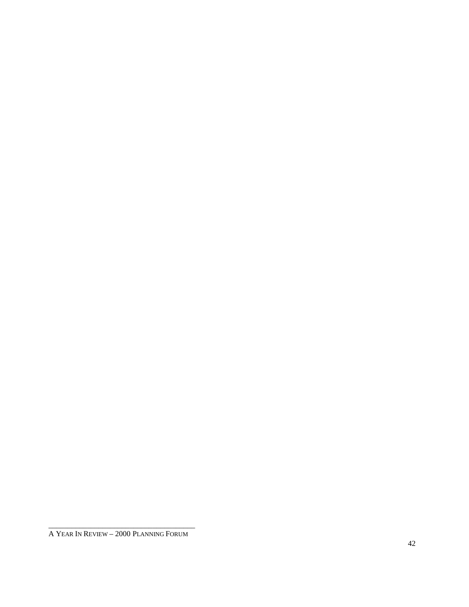\_\_\_\_\_\_\_\_\_\_\_\_\_\_\_\_\_\_\_\_\_\_\_\_\_\_\_\_\_\_\_\_\_\_\_\_\_\_ A YEAR IN REVIEW – 2000 PLANNING FORUM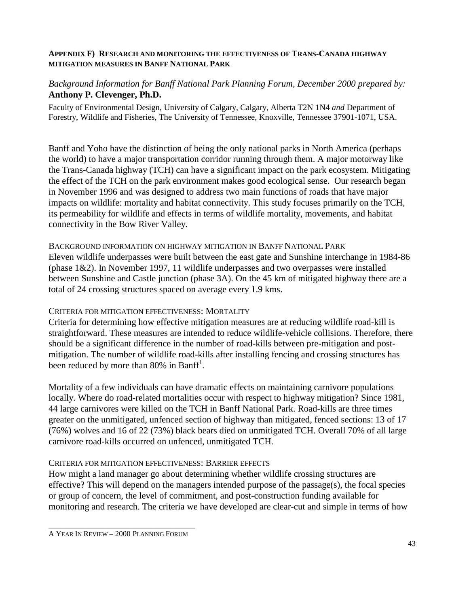#### **APPENDIX F) RESEARCH AND MONITORING THE EFFECTIVENESS OF TRANS-CANADA HIGHWAY MITIGATION MEASURES IN BANFF NATIONAL PARK**

#### *Background Information for Banff National Park Planning Forum, December 2000 prepared by:* **Anthony P. Clevenger, Ph.D.**

Faculty of Environmental Design, University of Calgary, Calgary, Alberta T2N 1N4 *and* Department of Forestry, Wildlife and Fisheries, The University of Tennessee, Knoxville, Tennessee 37901-1071, USA.

Banff and Yoho have the distinction of being the only national parks in North America (perhaps the world) to have a major transportation corridor running through them. A major motorway like the Trans-Canada highway (TCH) can have a significant impact on the park ecosystem. Mitigating the effect of the TCH on the park environment makes good ecological sense. Our research began in November 1996 and was designed to address two main functions of roads that have major impacts on wildlife: mortality and habitat connectivity. This study focuses primarily on the TCH, its permeability for wildlife and effects in terms of wildlife mortality, movements, and habitat connectivity in the Bow River Valley.

#### BACKGROUND INFORMATION ON HIGHWAY MITIGATION IN BANFF NATIONAL PARK

Eleven wildlife underpasses were built between the east gate and Sunshine interchange in 1984-86 (phase 1&2). In November 1997, 11 wildlife underpasses and two overpasses were installed between Sunshine and Castle junction (phase 3A). On the 45 km of mitigated highway there are a total of 24 crossing structures spaced on average every 1.9 kms.

#### CRITERIA FOR MITIGATION EFFECTIVENESS: MORTALITY

Criteria for determining how effective mitigation measures are at reducing wildlife road-kill is straightforward. These measures are intended to reduce wildlife-vehicle collisions. Therefore, there should be a significant difference in the number of road-kills between pre-mitigation and postmitigation. The number of wildlife road-kills after installing fencing and crossing structures has been reduced by more than  $80\%$  in Banff<sup>1</sup>.

Mortality of a few individuals can have dramatic effects on maintaining carnivore populations locally. Where do road-related mortalities occur with respect to highway mitigation? Since 1981, 44 large carnivores were killed on the TCH in Banff National Park. Road-kills are three times greater on the unmitigated, unfenced section of highway than mitigated, fenced sections: 13 of 17 (76%) wolves and 16 of 22 (73%) black bears died on unmitigated TCH. Overall 70% of all large carnivore road-kills occurred on unfenced, unmitigated TCH.

#### CRITERIA FOR MITIGATION EFFECTIVENESS: BARRIER EFFECTS

How might a land manager go about determining whether wildlife crossing structures are effective? This will depend on the managers intended purpose of the passage(s), the focal species or group of concern, the level of commitment, and post-construction funding available for monitoring and research. The criteria we have developed are clear-cut and simple in terms of how